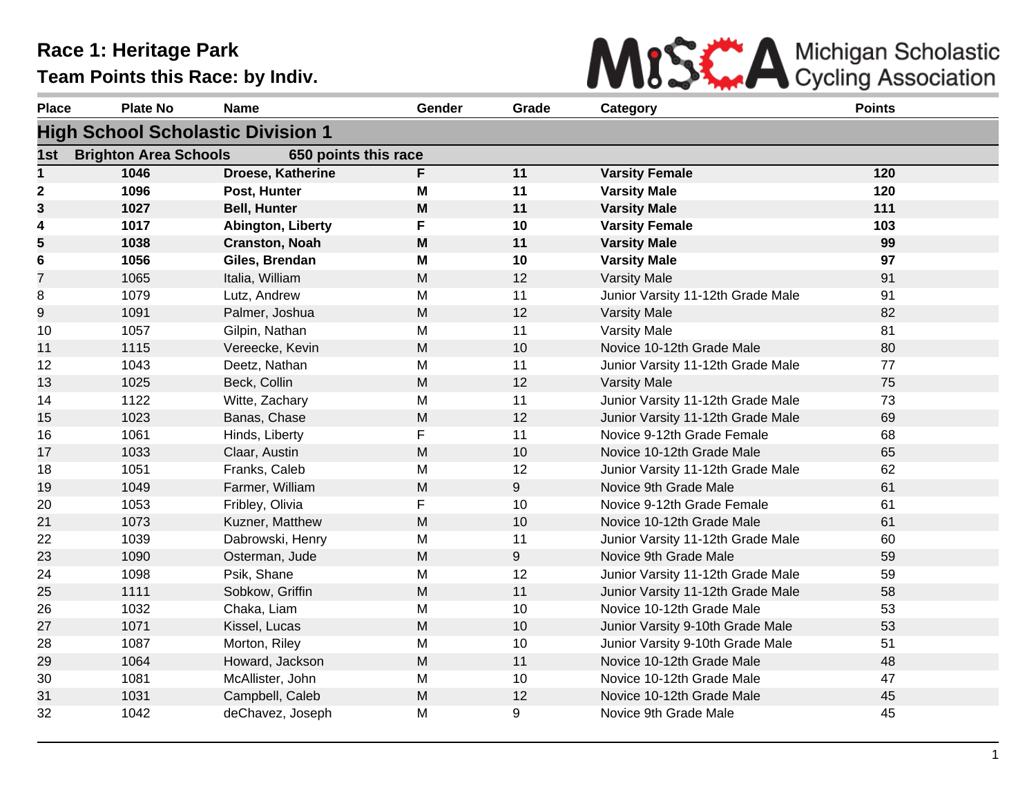

| <b>Place</b>            | <b>Plate No</b>              | <b>Name</b>                              | Gender    | Grade | Category                          | <b>Points</b> |
|-------------------------|------------------------------|------------------------------------------|-----------|-------|-----------------------------------|---------------|
|                         |                              | <b>High School Scholastic Division 1</b> |           |       |                                   |               |
| 1st                     | <b>Brighton Area Schools</b> | 650 points this race                     |           |       |                                   |               |
| $\mathbf{1}$            | 1046                         | Droese, Katherine                        | F         | 11    | <b>Varsity Female</b>             | 120           |
| $\mathbf 2$             | 1096                         | Post, Hunter                             | Μ         | 11    | <b>Varsity Male</b>               | 120           |
| 3                       | 1027                         | <b>Bell, Hunter</b>                      | M         | 11    | <b>Varsity Male</b>               | 111           |
| $\overline{\mathbf{4}}$ | 1017                         | Abington, Liberty                        | F         | 10    | <b>Varsity Female</b>             | 103           |
| 5                       | 1038                         | <b>Cranston, Noah</b>                    | M         | 11    | <b>Varsity Male</b>               | 99            |
| $6\phantom{1}6$         | 1056                         | Giles, Brendan                           | M         | 10    | <b>Varsity Male</b>               | 97            |
| $\overline{7}$          | 1065                         | Italia, William                          | M         | 12    | <b>Varsity Male</b>               | 91            |
| 8                       | 1079                         | Lutz, Andrew                             | M         | 11    | Junior Varsity 11-12th Grade Male | 91            |
| 9                       | 1091                         | Palmer, Joshua                           | M         | 12    | <b>Varsity Male</b>               | 82            |
| 10                      | 1057                         | Gilpin, Nathan                           | M         | 11    | Varsity Male                      | 81            |
| 11                      | 1115                         | Vereecke, Kevin                          | ${\sf M}$ | 10    | Novice 10-12th Grade Male         | 80            |
| 12                      | 1043                         | Deetz, Nathan                            | M         | 11    | Junior Varsity 11-12th Grade Male | 77            |
| 13                      | 1025                         | Beck, Collin                             | M         | 12    | <b>Varsity Male</b>               | 75            |
| 14                      | 1122                         | Witte, Zachary                           | M         | 11    | Junior Varsity 11-12th Grade Male | 73            |
| 15                      | 1023                         | Banas, Chase                             | M         | 12    | Junior Varsity 11-12th Grade Male | 69            |
| 16                      | 1061                         | Hinds, Liberty                           | F         | 11    | Novice 9-12th Grade Female        | 68            |
| 17                      | 1033                         | Claar, Austin                            | M         | 10    | Novice 10-12th Grade Male         | 65            |
| 18                      | 1051                         | Franks, Caleb                            | M         | 12    | Junior Varsity 11-12th Grade Male | 62            |
| 19                      | 1049                         | Farmer, William                          | M         | 9     | Novice 9th Grade Male             | 61            |
| 20                      | 1053                         | Fribley, Olivia                          | F         | 10    | Novice 9-12th Grade Female        | 61            |
| 21                      | 1073                         | Kuzner, Matthew                          | M         | 10    | Novice 10-12th Grade Male         | 61            |
| 22                      | 1039                         | Dabrowski, Henry                         | M         | 11    | Junior Varsity 11-12th Grade Male | 60            |
| 23                      | 1090                         | Osterman, Jude                           | M         | 9     | Novice 9th Grade Male             | 59            |
| 24                      | 1098                         | Psik, Shane                              | M         | 12    | Junior Varsity 11-12th Grade Male | 59            |
| 25                      | 1111                         | Sobkow, Griffin                          | M         | 11    | Junior Varsity 11-12th Grade Male | 58            |
| 26                      | 1032                         | Chaka, Liam                              | M         | 10    | Novice 10-12th Grade Male         | 53            |
| 27                      | 1071                         | Kissel, Lucas                            | M         | 10    | Junior Varsity 9-10th Grade Male  | 53            |
| 28                      | 1087                         | Morton, Riley                            | M         | 10    | Junior Varsity 9-10th Grade Male  | 51            |
| 29                      | 1064                         | Howard, Jackson                          | M         | 11    | Novice 10-12th Grade Male         | 48            |
| 30                      | 1081                         | McAllister, John                         | M         | 10    | Novice 10-12th Grade Male         | 47            |
| 31                      | 1031                         | Campbell, Caleb                          | M         | 12    | Novice 10-12th Grade Male         | 45            |
| 32                      | 1042                         | deChavez, Joseph                         | M         | 9     | Novice 9th Grade Male             | 45            |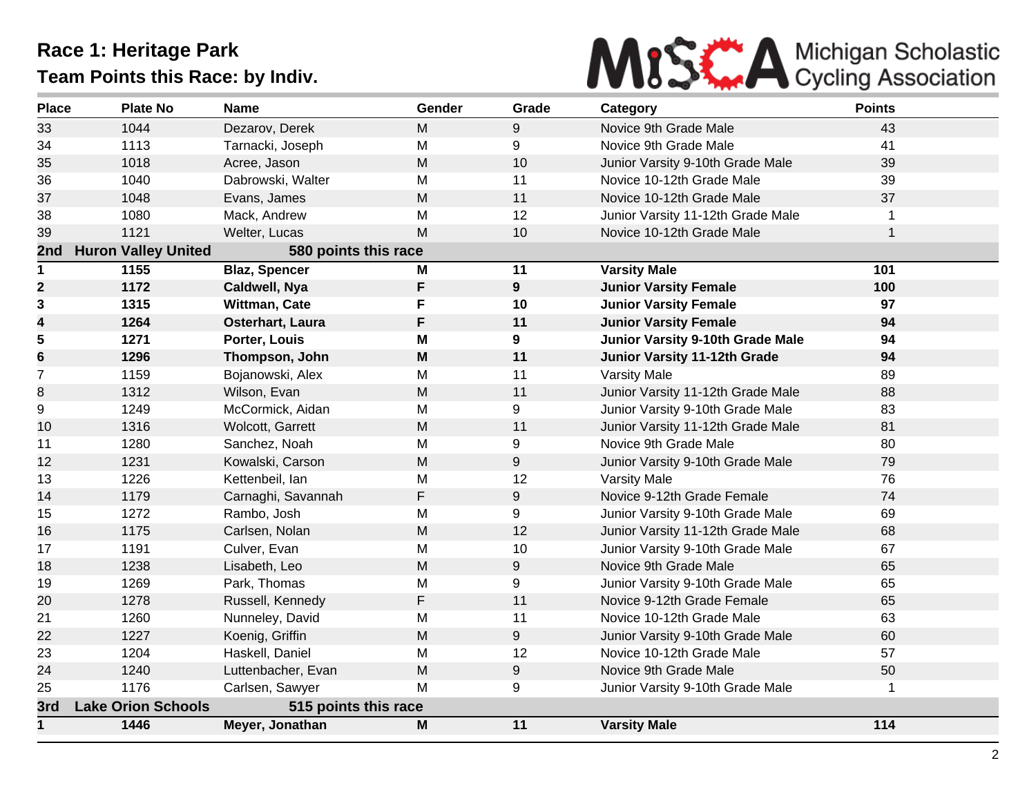

| <b>Place</b>            | <b>Plate No</b>            | <b>Name</b>          | Gender | Grade            | Category                            | <b>Points</b> |
|-------------------------|----------------------------|----------------------|--------|------------------|-------------------------------------|---------------|
| 33                      | 1044                       | Dezarov, Derek       | M      | 9                | Novice 9th Grade Male               | 43            |
| 34                      | 1113                       | Tarnacki, Joseph     | M      | 9                | Novice 9th Grade Male               | 41            |
| 35                      | 1018                       | Acree, Jason         | M      | 10               | Junior Varsity 9-10th Grade Male    | 39            |
| 36                      | 1040                       | Dabrowski, Walter    | M      | 11               | Novice 10-12th Grade Male           | 39            |
| 37                      | 1048                       | Evans, James         | M      | 11               | Novice 10-12th Grade Male           | 37            |
| 38                      | 1080                       | Mack, Andrew         | M      | 12               | Junior Varsity 11-12th Grade Male   | 1             |
| 39                      | 1121                       | Welter, Lucas        | M      | 10               | Novice 10-12th Grade Male           | 1             |
| 2nd                     | <b>Huron Valley United</b> | 580 points this race |        |                  |                                     |               |
| $\mathbf 1$             | 1155                       | <b>Blaz, Spencer</b> | M      | 11               | <b>Varsity Male</b>                 | 101           |
| $\mathbf 2$             | 1172                       | Caldwell, Nya        | F      | 9                | <b>Junior Varsity Female</b>        | 100           |
| 3                       | 1315                       | Wittman, Cate        | F      | 10               | <b>Junior Varsity Female</b>        | 97            |
| 4                       | 1264                       | Osterhart, Laura     | F      | 11               | <b>Junior Varsity Female</b>        | 94            |
| $\overline{\mathbf{5}}$ | 1271                       | Porter, Louis        | M      | $\boldsymbol{9}$ | Junior Varsity 9-10th Grade Male    | 94            |
| 6                       | 1296                       | Thompson, John       | M      | 11               | <b>Junior Varsity 11-12th Grade</b> | 94            |
| $\overline{7}$          | 1159                       | Bojanowski, Alex     | M      | 11               | <b>Varsity Male</b>                 | 89            |
| 8                       | 1312                       | Wilson, Evan         | M      | 11               | Junior Varsity 11-12th Grade Male   | 88            |
| 9                       | 1249                       | McCormick, Aidan     | M      | 9                | Junior Varsity 9-10th Grade Male    | 83            |
| 10                      | 1316                       | Wolcott, Garrett     | M      | 11               | Junior Varsity 11-12th Grade Male   | 81            |
| 11                      | 1280                       | Sanchez, Noah        | M      | 9                | Novice 9th Grade Male               | 80            |
| 12                      | 1231                       | Kowalski, Carson     | M      | $\boldsymbol{9}$ | Junior Varsity 9-10th Grade Male    | 79            |
| 13                      | 1226                       | Kettenbeil, lan      | M      | 12               | <b>Varsity Male</b>                 | 76            |
| 14                      | 1179                       | Carnaghi, Savannah   | F      | $\boldsymbol{9}$ | Novice 9-12th Grade Female          | 74            |
| 15                      | 1272                       | Rambo, Josh          | M      | 9                | Junior Varsity 9-10th Grade Male    | 69            |
| 16                      | 1175                       | Carlsen, Nolan       | M      | 12               | Junior Varsity 11-12th Grade Male   | 68            |
| 17                      | 1191                       | Culver, Evan         | M      | 10               | Junior Varsity 9-10th Grade Male    | 67            |
| 18                      | 1238                       | Lisabeth, Leo        | M      | $9\,$            | Novice 9th Grade Male               | 65            |
| 19                      | 1269                       | Park, Thomas         | M      | 9                | Junior Varsity 9-10th Grade Male    | 65            |
| 20                      | 1278                       | Russell, Kennedy     | F      | 11               | Novice 9-12th Grade Female          | 65            |
| 21                      | 1260                       | Nunneley, David      | M      | 11               | Novice 10-12th Grade Male           | 63            |
| 22                      | 1227                       | Koenig, Griffin      | M      | 9                | Junior Varsity 9-10th Grade Male    | 60            |
| 23                      | 1204                       | Haskell, Daniel      | M      | 12               | Novice 10-12th Grade Male           | 57            |
| 24                      | 1240                       | Luttenbacher, Evan   | M      | 9                | Novice 9th Grade Male               | 50            |
| 25                      | 1176                       | Carlsen, Sawyer      | M      | 9                | Junior Varsity 9-10th Grade Male    | 1             |
| 3rd                     | <b>Lake Orion Schools</b>  | 515 points this race |        |                  |                                     |               |
| $\mathbf{1}$            | 1446                       | Meyer, Jonathan      | M      | 11               | <b>Varsity Male</b>                 | 114           |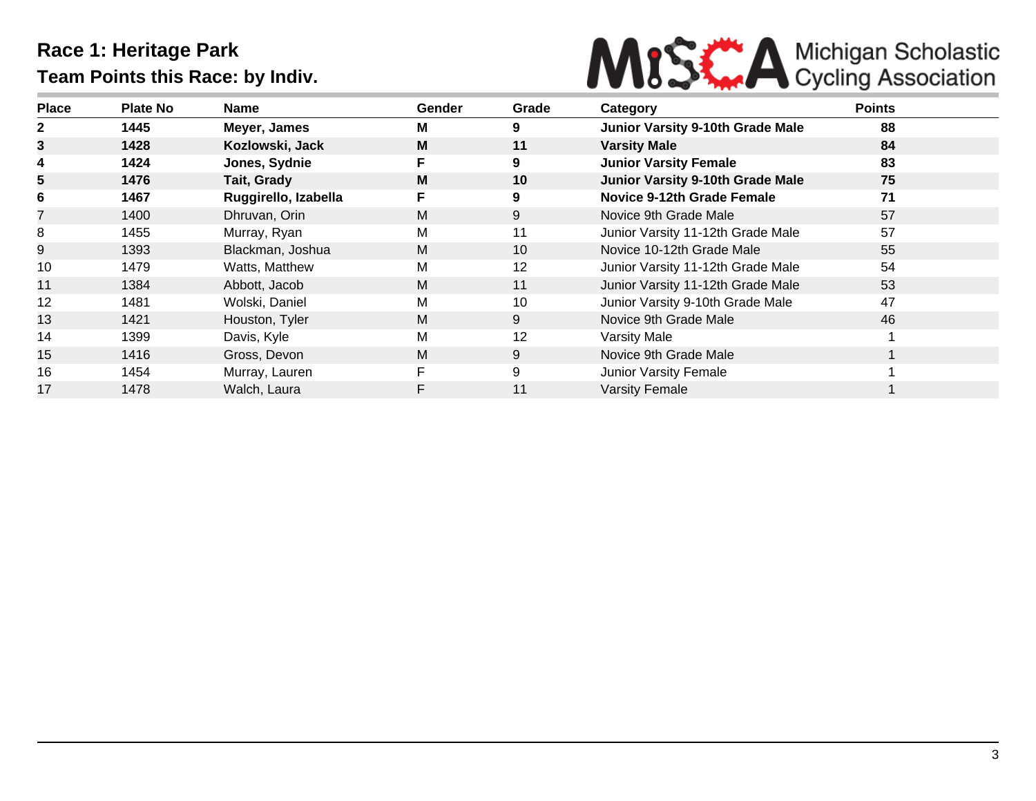

| <b>Place</b> | <b>Plate No</b> | Name                 | Gender | Grade | Category                          | <b>Points</b> |
|--------------|-----------------|----------------------|--------|-------|-----------------------------------|---------------|
| 2            | 1445            | Meyer, James         | Μ      | 9     | Junior Varsity 9-10th Grade Male  | 88            |
| 3            | 1428            | Kozlowski, Jack      | M      | 11    | <b>Varsity Male</b>               | 84            |
| 4            | 1424            | Jones, Sydnie        | F      | 9     | <b>Junior Varsity Female</b>      | 83            |
| 5            | 1476            | Tait, Grady          | M      | 10    | Junior Varsity 9-10th Grade Male  | 75            |
| 6            | 1467            | Ruggirello, Izabella | F      | 9     | Novice 9-12th Grade Female        | 71            |
|              | 1400            | Dhruvan, Orin        | M      | 9     | Novice 9th Grade Male             | 57            |
| 8            | 1455            | Murray, Ryan         | M      | 11    | Junior Varsity 11-12th Grade Male | 57            |
| 9            | 1393            | Blackman, Joshua     | M      | 10    | Novice 10-12th Grade Male         | 55            |
| 10           | 1479            | Watts, Matthew       | M      | 12    | Junior Varsity 11-12th Grade Male | 54            |
| 11           | 1384            | Abbott, Jacob        | M      | 11    | Junior Varsity 11-12th Grade Male | 53            |
| 12           | 1481            | Wolski, Daniel       | M      | 10    | Junior Varsity 9-10th Grade Male  | 47            |
| 13           | 1421            | Houston, Tyler       | M      | 9     | Novice 9th Grade Male             | 46            |
| 14           | 1399            | Davis, Kyle          | м      | 12    | Varsity Male                      |               |
| 15           | 1416            | Gross, Devon         | M      | 9     | Novice 9th Grade Male             |               |
| 16           | 1454            | Murray, Lauren       | F.     | 9     | Junior Varsity Female             |               |
| 17           | 1478            | Walch, Laura         |        | 11    | <b>Varsity Female</b>             |               |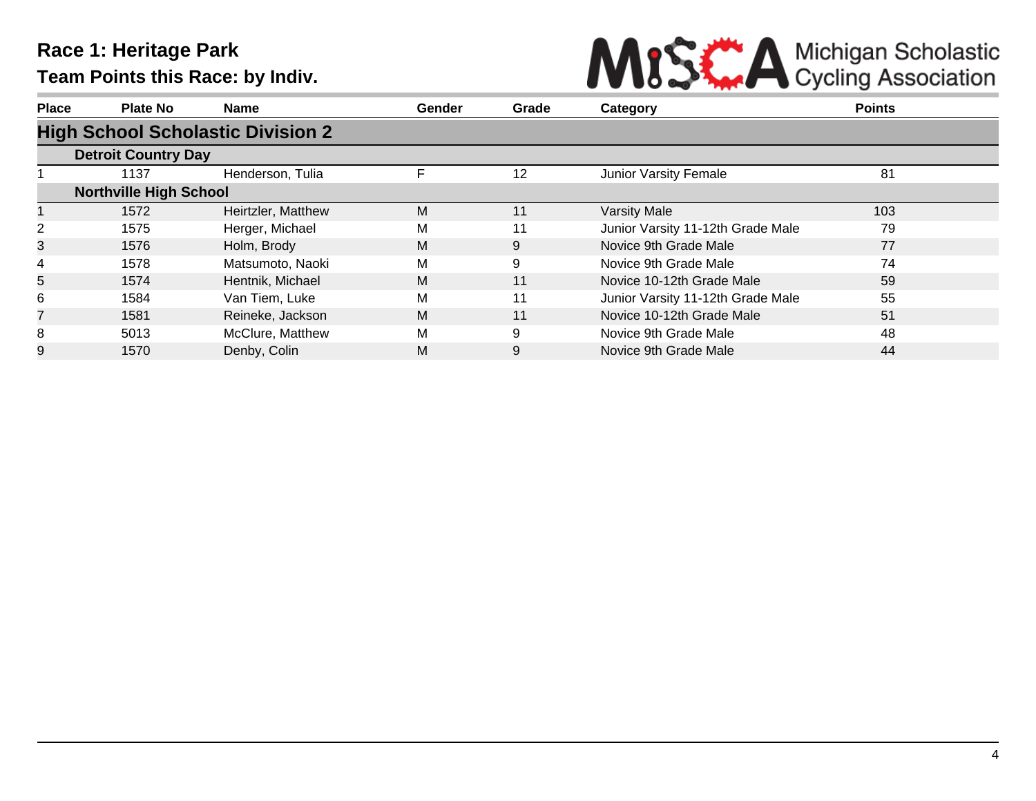

| <b>Place</b> | <b>Plate No</b>                          | <b>Name</b>        | Gender | Grade | Category                          | <b>Points</b> |  |  |  |  |  |
|--------------|------------------------------------------|--------------------|--------|-------|-----------------------------------|---------------|--|--|--|--|--|
|              | <b>High School Scholastic Division 2</b> |                    |        |       |                                   |               |  |  |  |  |  |
|              | <b>Detroit Country Day</b>               |                    |        |       |                                   |               |  |  |  |  |  |
|              | 1137                                     | Henderson, Tulia   |        | 12    | Junior Varsity Female             | 81            |  |  |  |  |  |
|              | <b>Northville High School</b>            |                    |        |       |                                   |               |  |  |  |  |  |
|              | 1572                                     | Heirtzler, Matthew | M      | 11    | <b>Varsity Male</b>               | 103           |  |  |  |  |  |
| 2            | 1575                                     | Herger, Michael    | М      | 11    | Junior Varsity 11-12th Grade Male | 79            |  |  |  |  |  |
| 3            | 1576                                     | Holm, Brody        | Μ      | 9     | Novice 9th Grade Male             | 77            |  |  |  |  |  |
| 4            | 1578                                     | Matsumoto, Naoki   | Μ      | 9     | Novice 9th Grade Male             | 74            |  |  |  |  |  |
| 5            | 1574                                     | Hentnik, Michael   | M      | 11    | Novice 10-12th Grade Male         | 59            |  |  |  |  |  |
| 6            | 1584                                     | Van Tiem, Luke     | Μ      | 11    | Junior Varsity 11-12th Grade Male | 55            |  |  |  |  |  |
| 7            | 1581                                     | Reineke, Jackson   | M      | 11    | Novice 10-12th Grade Male         | 51            |  |  |  |  |  |
| 8            | 5013                                     | McClure, Matthew   | M      | 9     | Novice 9th Grade Male             | 48            |  |  |  |  |  |
| 9            | 1570                                     | Denby, Colin       | Μ      | 9     | Novice 9th Grade Male             | 44            |  |  |  |  |  |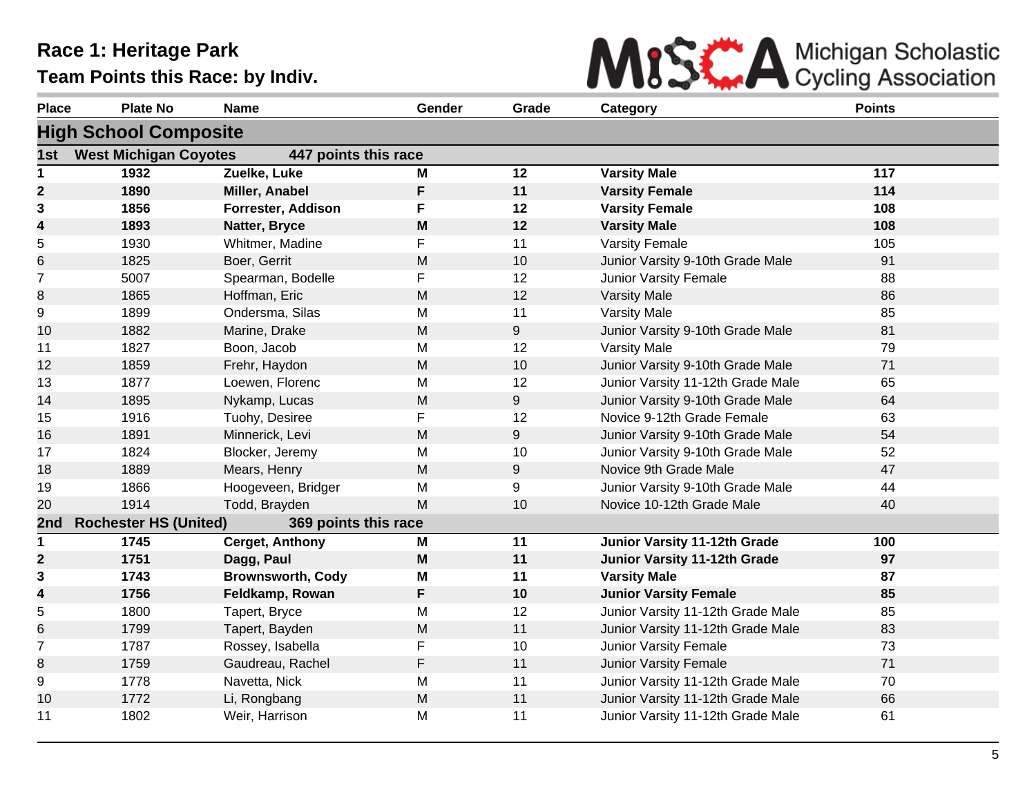

| <b>Place</b>     | <b>Plate No</b>              | <b>Name</b>               | Gender    | Grade | Category                          | <b>Points</b> |
|------------------|------------------------------|---------------------------|-----------|-------|-----------------------------------|---------------|
|                  | <b>High School Composite</b> |                           |           |       |                                   |               |
| 1st              | <b>West Michigan Coyotes</b> | 447 points this race      |           |       |                                   |               |
| 1                | 1932                         | Zuelke, Luke              | M         | 12    | <b>Varsity Male</b>               | 117           |
| 2                | 1890                         | Miller, Anabel            | F         | 11    | <b>Varsity Female</b>             | 114           |
| 3                | 1856                         | <b>Forrester, Addison</b> | F         | 12    | <b>Varsity Female</b>             | 108           |
| 4                | 1893                         | Natter, Bryce             | M         | 12    | <b>Varsity Male</b>               | 108           |
| 5                | 1930                         | Whitmer, Madine           | F         | 11    | <b>Varsity Female</b>             | 105           |
| 6                | 1825                         | Boer, Gerrit              | M         | 10    | Junior Varsity 9-10th Grade Male  | 91            |
| $\overline{7}$   | 5007                         | Spearman, Bodelle         | F.        | 12    | Junior Varsity Female             | 88            |
| 8                | 1865                         | Hoffman, Eric             | M         | 12    | <b>Varsity Male</b>               | 86            |
| $\boldsymbol{9}$ | 1899                         | Ondersma, Silas           | M         | 11    | Varsity Male                      | 85            |
| 10               | 1882                         | Marine, Drake             | M         | 9     | Junior Varsity 9-10th Grade Male  | 81            |
| 11               | 1827                         | Boon, Jacob               | M         | 12    | Varsity Male                      | 79            |
| 12               | 1859                         | Frehr, Haydon             | M         | 10    | Junior Varsity 9-10th Grade Male  | 71            |
| 13               | 1877                         | Loewen, Florenc           | M         | 12    | Junior Varsity 11-12th Grade Male | 65            |
| 14               | 1895                         | Nykamp, Lucas             | M         | 9     | Junior Varsity 9-10th Grade Male  | 64            |
| 15               | 1916                         | Tuohy, Desiree            | F         | 12    | Novice 9-12th Grade Female        | 63            |
| 16               | 1891                         | Minnerick, Levi           | M         | 9     | Junior Varsity 9-10th Grade Male  | 54            |
| 17               | 1824                         | Blocker, Jeremy           | M         | 10    | Junior Varsity 9-10th Grade Male  | 52            |
| 18               | 1889                         | Mears, Henry              | M         | 9     | Novice 9th Grade Male             | 47            |
| 19               | 1866                         | Hoogeveen, Bridger        | M         | 9     | Junior Varsity 9-10th Grade Male  | 44            |
| 20               | 1914                         | Todd, Brayden             | M         | 10    | Novice 10-12th Grade Male         | 40            |
| 2nd              | <b>Rochester HS (United)</b> | 369 points this race      |           |       |                                   |               |
| 1                | 1745                         | <b>Cerget, Anthony</b>    | M         | 11    | Junior Varsity 11-12th Grade      | 100           |
| $\mathbf 2$      | 1751                         | Dagg, Paul                | M         | 11    | Junior Varsity 11-12th Grade      | 97            |
| 3                | 1743                         | <b>Brownsworth, Cody</b>  | M         | 11    | <b>Varsity Male</b>               | 87            |
| 4                | 1756                         | Feldkamp, Rowan           | F         | 10    | <b>Junior Varsity Female</b>      | 85            |
| 5                | 1800                         | Tapert, Bryce             | M         | 12    | Junior Varsity 11-12th Grade Male | 85            |
| 6                | 1799                         | Tapert, Bayden            | ${\sf M}$ | 11    | Junior Varsity 11-12th Grade Male | 83            |
| $\overline{7}$   | 1787                         | Rossey, Isabella          | F         | 10    | <b>Junior Varsity Female</b>      | 73            |
| 8                | 1759                         | Gaudreau, Rachel          | F         | 11    | <b>Junior Varsity Female</b>      | 71            |
| 9                | 1778                         | Navetta, Nick             | M         | 11    | Junior Varsity 11-12th Grade Male | 70            |
| 10               | 1772                         | Li, Rongbang              | M         | 11    | Junior Varsity 11-12th Grade Male | 66            |
| 11               | 1802                         | Weir, Harrison            | M         | 11    | Junior Varsity 11-12th Grade Male | 61            |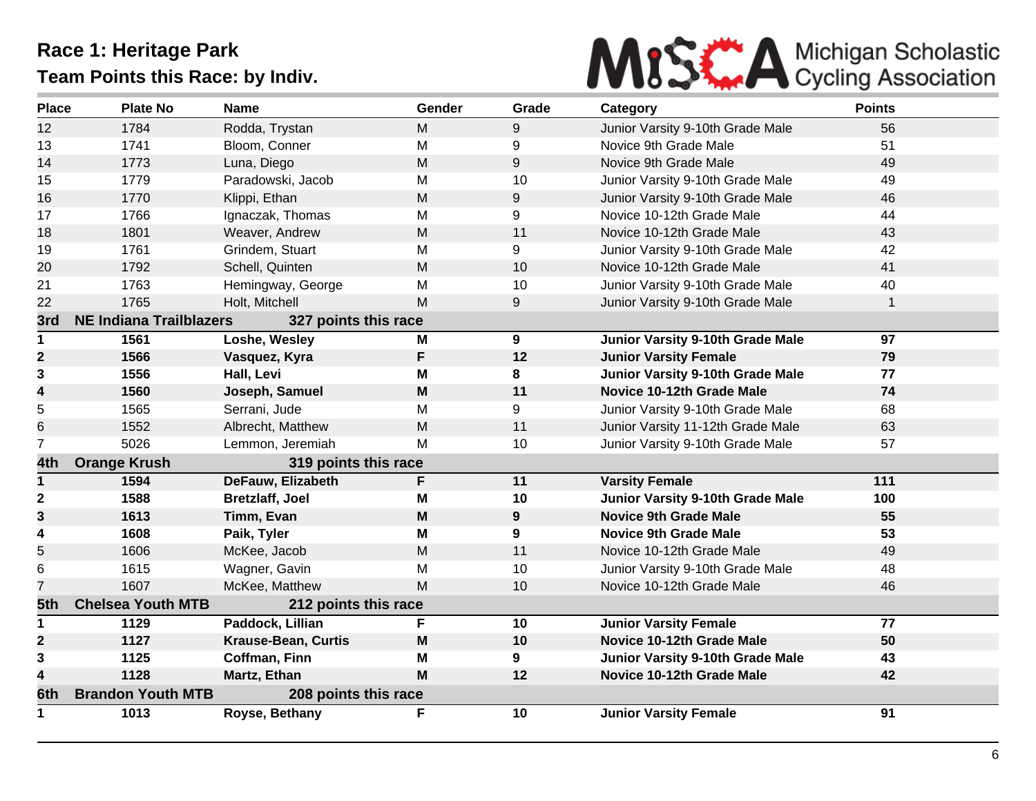

| <b>Place</b>     | <b>Plate No</b>                                        | <b>Name</b>            | Gender | Grade            | Category                          | <b>Points</b> |  |  |  |
|------------------|--------------------------------------------------------|------------------------|--------|------------------|-----------------------------------|---------------|--|--|--|
| 12               | 1784                                                   | Rodda, Trystan         | M      | $\boldsymbol{9}$ | Junior Varsity 9-10th Grade Male  | 56            |  |  |  |
| 13               | 1741                                                   | Bloom, Conner          | M      | 9                | Novice 9th Grade Male             | 51            |  |  |  |
| 14               | 1773                                                   | Luna, Diego            | M      | $9\,$            | Novice 9th Grade Male             | 49            |  |  |  |
| 15               | 1779                                                   | Paradowski, Jacob      | M      | 10               | Junior Varsity 9-10th Grade Male  | 49            |  |  |  |
| 16               | 1770                                                   | Klippi, Ethan          | M      | 9                | Junior Varsity 9-10th Grade Male  | 46            |  |  |  |
| 17               | 1766                                                   | Ignaczak, Thomas       | M      | 9                | Novice 10-12th Grade Male         | 44            |  |  |  |
| 18               | 1801                                                   | Weaver, Andrew         | M      | 11               | Novice 10-12th Grade Male         | 43            |  |  |  |
| 19               | 1761                                                   | Grindem, Stuart        | M      | 9                | Junior Varsity 9-10th Grade Male  | 42            |  |  |  |
| 20               | 1792                                                   | Schell, Quinten        | M      | 10               | Novice 10-12th Grade Male         | 41            |  |  |  |
| 21               | 1763                                                   | Hemingway, George      | M      | 10               | Junior Varsity 9-10th Grade Male  | 40            |  |  |  |
| 22               | 1765                                                   | Holt, Mitchell         | M      | 9                | Junior Varsity 9-10th Grade Male  | 1             |  |  |  |
| 3rd              | <b>NE Indiana Trailblazers</b><br>327 points this race |                        |        |                  |                                   |               |  |  |  |
| $\mathbf 1$      | 1561                                                   | Loshe, Wesley          | M      | $\mathbf{9}$     | Junior Varsity 9-10th Grade Male  | 97            |  |  |  |
| $\mathbf 2$      | 1566                                                   | Vasquez, Kyra          | F      | 12               | <b>Junior Varsity Female</b>      | 79            |  |  |  |
| 3                | 1556                                                   | Hall, Levi             | M      | 8                | Junior Varsity 9-10th Grade Male  | 77            |  |  |  |
| 4                | 1560                                                   | Joseph, Samuel         | M      | 11               | Novice 10-12th Grade Male         | 74            |  |  |  |
| 5                | 1565                                                   | Serrani, Jude          | M      | 9                | Junior Varsity 9-10th Grade Male  | 68            |  |  |  |
| 6                | 1552                                                   | Albrecht, Matthew      | M      | 11               | Junior Varsity 11-12th Grade Male | 63            |  |  |  |
| $\overline{7}$   | 5026                                                   | Lemmon, Jeremiah       | M      | 10               | Junior Varsity 9-10th Grade Male  | 57            |  |  |  |
| 4th              | <b>Orange Krush</b>                                    | 319 points this race   |        |                  |                                   |               |  |  |  |
| $\mathbf{1}$     | 1594                                                   | DeFauw, Elizabeth      | F      | 11               | <b>Varsity Female</b>             | 111           |  |  |  |
| $\boldsymbol{2}$ | 1588                                                   | <b>Bretzlaff, Joel</b> | M      | 10               | Junior Varsity 9-10th Grade Male  | 100           |  |  |  |
| 3                | 1613                                                   | Timm, Evan             | M      | $\boldsymbol{9}$ | <b>Novice 9th Grade Male</b>      | 55            |  |  |  |
| 4                | 1608                                                   | Paik, Tyler            | M      | 9                | <b>Novice 9th Grade Male</b>      | 53            |  |  |  |
| 5                | 1606                                                   | McKee, Jacob           | M      | 11               | Novice 10-12th Grade Male         | 49            |  |  |  |
| 6                | 1615                                                   | Wagner, Gavin          | M      | 10               | Junior Varsity 9-10th Grade Male  | 48            |  |  |  |
| 7                | 1607                                                   | McKee, Matthew         | M      | 10               | Novice 10-12th Grade Male         | 46            |  |  |  |
| 5th              | <b>Chelsea Youth MTB</b>                               | 212 points this race   |        |                  |                                   |               |  |  |  |
| 1                | 1129                                                   | Paddock, Lillian       | F      | 10               | <b>Junior Varsity Female</b>      | 77            |  |  |  |
| 2                | 1127                                                   | Krause-Bean, Curtis    | M      | 10               | Novice 10-12th Grade Male         | 50            |  |  |  |
| 3                | 1125                                                   | Coffman, Finn          | M      | 9                | Junior Varsity 9-10th Grade Male  | 43            |  |  |  |
| 4                | 1128                                                   | Martz, Ethan           | M      | 12               | Novice 10-12th Grade Male         | 42            |  |  |  |
| 6th              | <b>Brandon Youth MTB</b>                               | 208 points this race   |        |                  |                                   |               |  |  |  |
| 1                | 1013                                                   | Royse, Bethany         | F      | 10               | <b>Junior Varsity Female</b>      | 91            |  |  |  |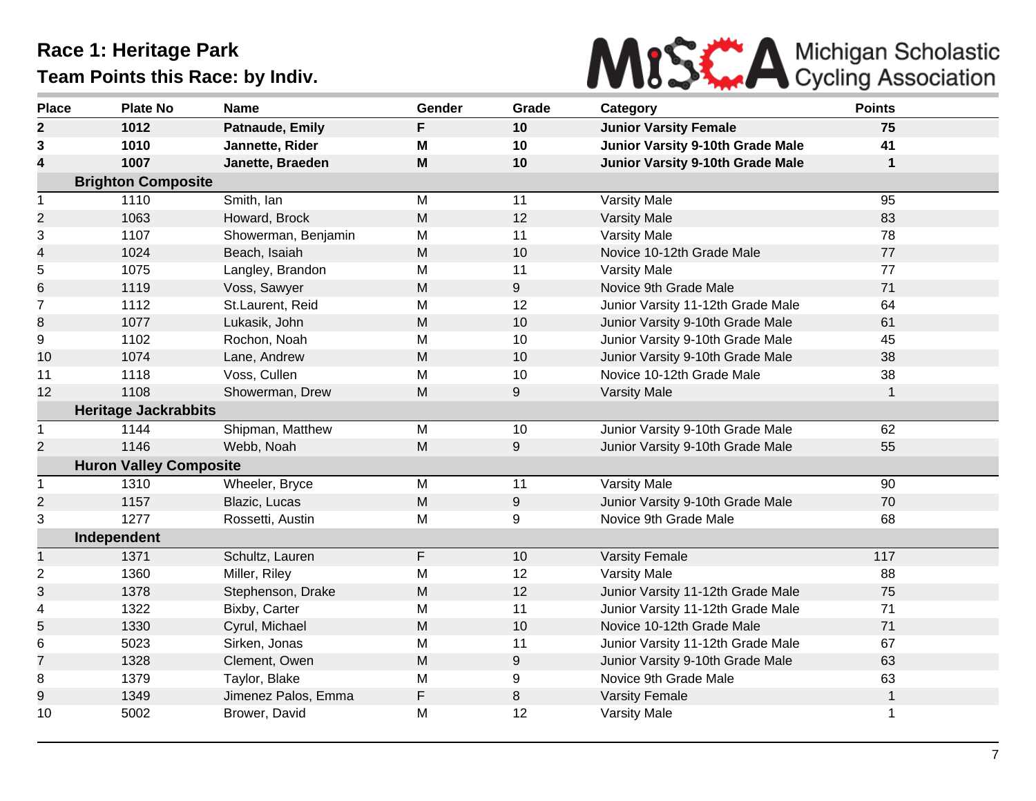

| <b>Place</b>            | <b>Plate No</b>               | <b>Name</b>         | Gender | Grade            | Category                          | <b>Points</b> |
|-------------------------|-------------------------------|---------------------|--------|------------------|-----------------------------------|---------------|
| $\overline{\mathbf{2}}$ | 1012                          | Patnaude, Emily     | F      | 10               | <b>Junior Varsity Female</b>      | 75            |
| 3                       | 1010                          | Jannette, Rider     | M      | 10               | Junior Varsity 9-10th Grade Male  | 41            |
| 4                       | 1007                          | Janette, Braeden    | M      | 10               | Junior Varsity 9-10th Grade Male  | 1             |
|                         | <b>Brighton Composite</b>     |                     |        |                  |                                   |               |
| $\mathbf{1}$            | 1110                          | Smith, Ian          | M      | 11               | <b>Varsity Male</b>               | 95            |
| $\overline{2}$          | 1063                          | Howard, Brock       | M      | 12               | <b>Varsity Male</b>               | 83            |
| 3                       | 1107                          | Showerman, Benjamin | M      | 11               | <b>Varsity Male</b>               | 78            |
| 4                       | 1024                          | Beach, Isaiah       | M      | 10               | Novice 10-12th Grade Male         | 77            |
| 5                       | 1075                          | Langley, Brandon    | M      | 11               | Varsity Male                      | 77            |
| 6                       | 1119                          | Voss, Sawyer        | M      | 9                | Novice 9th Grade Male             | 71            |
| $\overline{7}$          | 1112                          | St.Laurent, Reid    | M      | 12               | Junior Varsity 11-12th Grade Male | 64            |
| 8                       | 1077                          | Lukasik, John       | M      | 10               | Junior Varsity 9-10th Grade Male  | 61            |
| 9                       | 1102                          | Rochon, Noah        | M      | 10               | Junior Varsity 9-10th Grade Male  | 45            |
| 10                      | 1074                          | Lane, Andrew        | M      | 10               | Junior Varsity 9-10th Grade Male  | 38            |
| 11                      | 1118                          | Voss, Cullen        | M      | 10               | Novice 10-12th Grade Male         | 38            |
| 12                      | 1108                          | Showerman, Drew     | M      | 9                | <b>Varsity Male</b>               | $\mathbf 1$   |
|                         | <b>Heritage Jackrabbits</b>   |                     |        |                  |                                   |               |
| $\mathbf{1}$            | 1144                          | Shipman, Matthew    | M      | 10               | Junior Varsity 9-10th Grade Male  | 62            |
| $\overline{2}$          | 1146                          | Webb, Noah          | M      | 9                | Junior Varsity 9-10th Grade Male  | 55            |
|                         | <b>Huron Valley Composite</b> |                     |        |                  |                                   |               |
| $\mathbf{1}$            | 1310                          | Wheeler, Bryce      | M      | 11               | <b>Varsity Male</b>               | 90            |
| $\overline{c}$          | 1157                          | Blazic, Lucas       | M      | $9\,$            | Junior Varsity 9-10th Grade Male  | 70            |
| 3                       | 1277                          | Rossetti, Austin    | M      | $\boldsymbol{9}$ | Novice 9th Grade Male             | 68            |
|                         | Independent                   |                     |        |                  |                                   |               |
| $\mathbf{1}$            | 1371                          | Schultz, Lauren     | F.     | 10               | <b>Varsity Female</b>             | 117           |
| $\overline{2}$          | 1360                          | Miller, Riley       | M      | 12               | <b>Varsity Male</b>               | 88            |
| 3                       | 1378                          | Stephenson, Drake   | M      | 12               | Junior Varsity 11-12th Grade Male | 75            |
| 4                       | 1322                          | Bixby, Carter       | M      | 11               | Junior Varsity 11-12th Grade Male | 71            |
| 5                       | 1330                          | Cyrul, Michael      | M      | 10               | Novice 10-12th Grade Male         | 71            |
| 6                       | 5023                          | Sirken, Jonas       | M      | 11               | Junior Varsity 11-12th Grade Male | 67            |
| $\overline{7}$          | 1328                          | Clement, Owen       | M      | 9                | Junior Varsity 9-10th Grade Male  | 63            |
| 8                       | 1379                          | Taylor, Blake       | M      | 9                | Novice 9th Grade Male             | 63            |
| 9                       | 1349                          | Jimenez Palos, Emma | F      | $\,8\,$          | <b>Varsity Female</b>             | $\mathbf{1}$  |
| 10                      | 5002                          | Brower, David       | M      | 12               | <b>Varsity Male</b>               | 1             |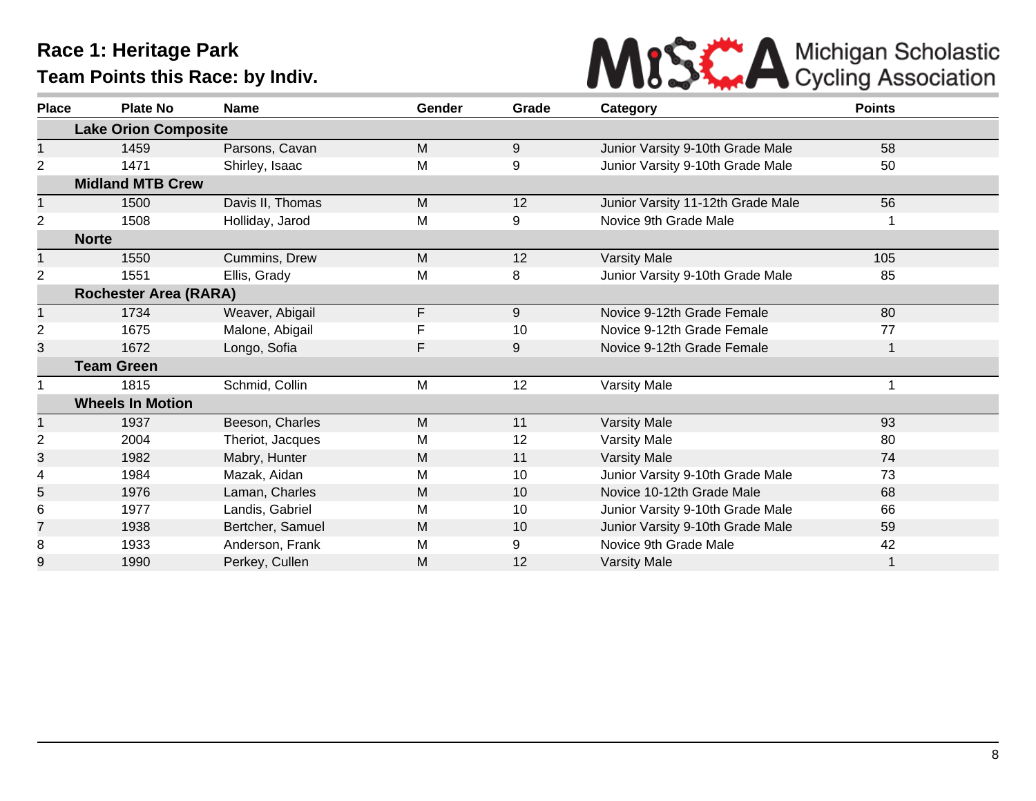

| <b>Place</b>   | <b>Plate No</b>              | <b>Name</b>      | Gender | Grade | Category                          | <b>Points</b> |  |  |  |
|----------------|------------------------------|------------------|--------|-------|-----------------------------------|---------------|--|--|--|
|                | <b>Lake Orion Composite</b>  |                  |        |       |                                   |               |  |  |  |
|                | 1459                         | Parsons, Cavan   | M      | 9     | Junior Varsity 9-10th Grade Male  | 58            |  |  |  |
| $\overline{2}$ | 1471                         | Shirley, Isaac   | M      | 9     | Junior Varsity 9-10th Grade Male  | 50            |  |  |  |
|                | <b>Midland MTB Crew</b>      |                  |        |       |                                   |               |  |  |  |
| $\mathbf{1}$   | 1500                         | Davis II, Thomas | M      | 12    | Junior Varsity 11-12th Grade Male | 56            |  |  |  |
| $\overline{2}$ | 1508                         | Holliday, Jarod  | M      | 9     | Novice 9th Grade Male             |               |  |  |  |
|                | <b>Norte</b>                 |                  |        |       |                                   |               |  |  |  |
|                | 1550                         | Cummins, Drew    | M      | 12    | Varsity Male                      | 105           |  |  |  |
| $\overline{2}$ | 1551                         | Ellis, Grady     | M      | 8     | Junior Varsity 9-10th Grade Male  | 85            |  |  |  |
|                | <b>Rochester Area (RARA)</b> |                  |        |       |                                   |               |  |  |  |
| $\mathbf{1}$   | 1734                         | Weaver, Abigail  | F      | 9     | Novice 9-12th Grade Female        | 80            |  |  |  |
| $\overline{2}$ | 1675                         | Malone, Abigail  | F      | 10    | Novice 9-12th Grade Female        | 77            |  |  |  |
| 3              | 1672                         | Longo, Sofia     | F      | 9     | Novice 9-12th Grade Female        | 1             |  |  |  |
|                | <b>Team Green</b>            |                  |        |       |                                   |               |  |  |  |
|                | 1815                         | Schmid, Collin   | M      | 12    | Varsity Male                      |               |  |  |  |
|                | <b>Wheels In Motion</b>      |                  |        |       |                                   |               |  |  |  |
|                | 1937                         | Beeson, Charles  | M      | 11    | Varsity Male                      | 93            |  |  |  |
| $\overline{2}$ | 2004                         | Theriot, Jacques | M      | 12    | Varsity Male                      | 80            |  |  |  |
| 3              | 1982                         | Mabry, Hunter    | M      | 11    | <b>Varsity Male</b>               | 74            |  |  |  |
| 4              | 1984                         | Mazak, Aidan     | M      | 10    | Junior Varsity 9-10th Grade Male  | 73            |  |  |  |
| 5              | 1976                         | Laman, Charles   | M      | 10    | Novice 10-12th Grade Male         | 68            |  |  |  |
| 6              | 1977                         | Landis, Gabriel  | M      | 10    | Junior Varsity 9-10th Grade Male  | 66            |  |  |  |
| 7              | 1938                         | Bertcher, Samuel | M      | 10    | Junior Varsity 9-10th Grade Male  | 59            |  |  |  |
| 8              | 1933                         | Anderson, Frank  | M      | 9     | Novice 9th Grade Male             | 42            |  |  |  |
| 9              | 1990                         | Perkey, Cullen   | M      | 12    | Varsity Male                      | 1             |  |  |  |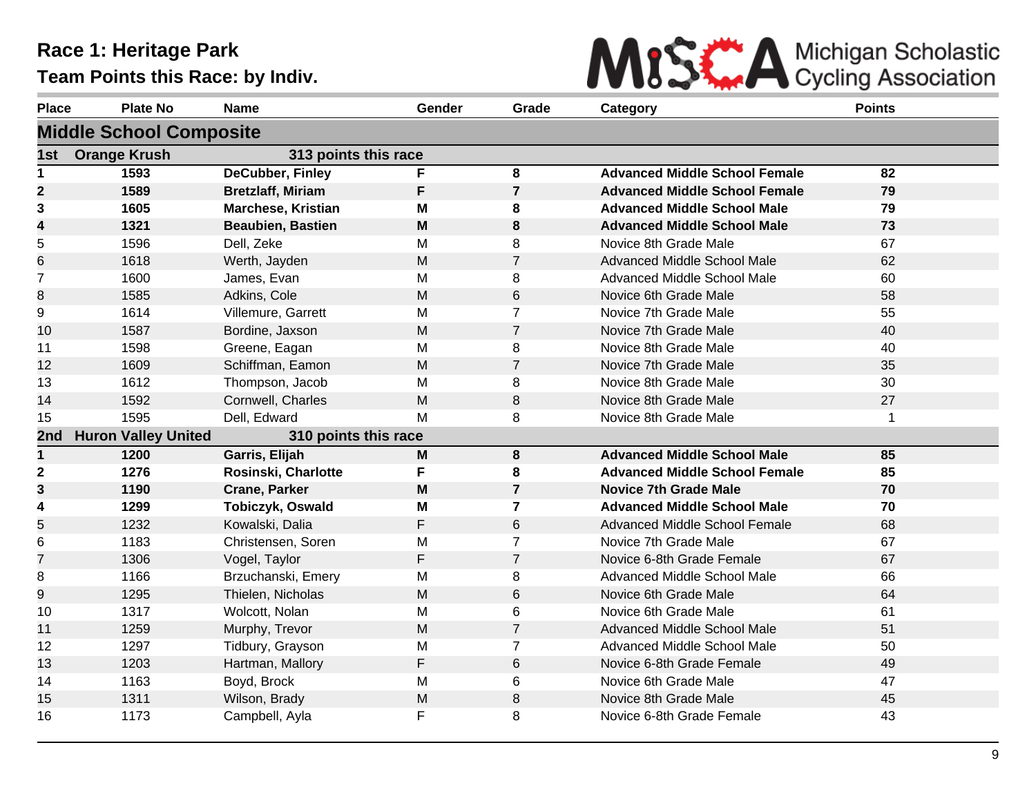

| <b>Place</b>   | <b>Plate No</b>                | Name                      | Gender | Grade                   | Category                             | <b>Points</b> |
|----------------|--------------------------------|---------------------------|--------|-------------------------|--------------------------------------|---------------|
|                | <b>Middle School Composite</b> |                           |        |                         |                                      |               |
| 1st            | <b>Orange Krush</b>            | 313 points this race      |        |                         |                                      |               |
| $\mathbf{1}$   | 1593                           | DeCubber, Finley          | F      | 8                       | <b>Advanced Middle School Female</b> | 82            |
| 2              | 1589                           | <b>Bretzlaff, Miriam</b>  | F      | $\overline{7}$          | <b>Advanced Middle School Female</b> | 79            |
| 3              | 1605                           | <b>Marchese, Kristian</b> | M      | 8                       | <b>Advanced Middle School Male</b>   | 79            |
| 4              | 1321                           | <b>Beaubien, Bastien</b>  | M      | 8                       | <b>Advanced Middle School Male</b>   | 73            |
| 5              | 1596                           | Dell, Zeke                | M      | 8                       | Novice 8th Grade Male                | 67            |
| 6              | 1618                           | Werth, Jayden             | M      | $\overline{7}$          | Advanced Middle School Male          | 62            |
| $\overline{7}$ | 1600                           | James, Evan               | M      | 8                       | Advanced Middle School Male          | 60            |
| 8              | 1585                           | Adkins, Cole              | M      | 6                       | Novice 6th Grade Male                | 58            |
| 9              | 1614                           | Villemure, Garrett        | M      | $\overline{7}$          | Novice 7th Grade Male                | 55            |
| 10             | 1587                           | Bordine, Jaxson           | M      | $\overline{7}$          | Novice 7th Grade Male                | 40            |
| 11             | 1598                           | Greene, Eagan             | M      | 8                       | Novice 8th Grade Male                | 40            |
| 12             | 1609                           | Schiffman, Eamon          | M      | $\overline{7}$          | Novice 7th Grade Male                | 35            |
| 13             | 1612                           | Thompson, Jacob           | М      | 8                       | Novice 8th Grade Male                | 30            |
| 14             | 1592                           | Cornwell, Charles         | M      | 8                       | Novice 8th Grade Male                | 27            |
| 15             | 1595                           | Dell, Edward              | M      | 8                       | Novice 8th Grade Male                | 1             |
| 2nd            | <b>Huron Valley United</b>     | 310 points this race      |        |                         |                                      |               |
| $\mathbf{1}$   | 1200                           | Garris, Elijah            | M      | 8                       | <b>Advanced Middle School Male</b>   | 85            |
| $\mathbf 2$    | 1276                           | Rosinski, Charlotte       | F      | 8                       | <b>Advanced Middle School Female</b> | 85            |
| 3              | 1190                           | <b>Crane, Parker</b>      | M      | $\overline{7}$          | <b>Novice 7th Grade Male</b>         | 70            |
| 4              | 1299                           | Tobiczyk, Oswald          | M      | $\overline{\mathbf{r}}$ | <b>Advanced Middle School Male</b>   | 70            |
| 5              | 1232                           | Kowalski, Dalia           | F      | 6                       | Advanced Middle School Female        | 68            |
| 6              | 1183                           | Christensen, Soren        | M      | $\overline{7}$          | Novice 7th Grade Male                | 67            |
| 7              | 1306                           | Vogel, Taylor             | F      | $\overline{7}$          | Novice 6-8th Grade Female            | 67            |
| 8              | 1166                           | Brzuchanski, Emery        | М      | 8                       | Advanced Middle School Male          | 66            |
| 9              | 1295                           | Thielen, Nicholas         | M      | 6                       | Novice 6th Grade Male                | 64            |
| 10             | 1317                           | Wolcott, Nolan            | M      | 6                       | Novice 6th Grade Male                | 61            |
| 11             | 1259                           | Murphy, Trevor            | M      | $\overline{7}$          | Advanced Middle School Male          | 51            |
| 12             | 1297                           | Tidbury, Grayson          | M      | $\overline{7}$          | Advanced Middle School Male          | 50            |
| 13             | 1203                           | Hartman, Mallory          | F      | 6                       | Novice 6-8th Grade Female            | 49            |
| 14             | 1163                           | Boyd, Brock               | M      | 6                       | Novice 6th Grade Male                | 47            |
| 15             | 1311                           | Wilson, Brady             | M      | 8                       | Novice 8th Grade Male                | 45            |
| 16             | 1173                           | Campbell, Ayla            | F      | 8                       | Novice 6-8th Grade Female            | 43            |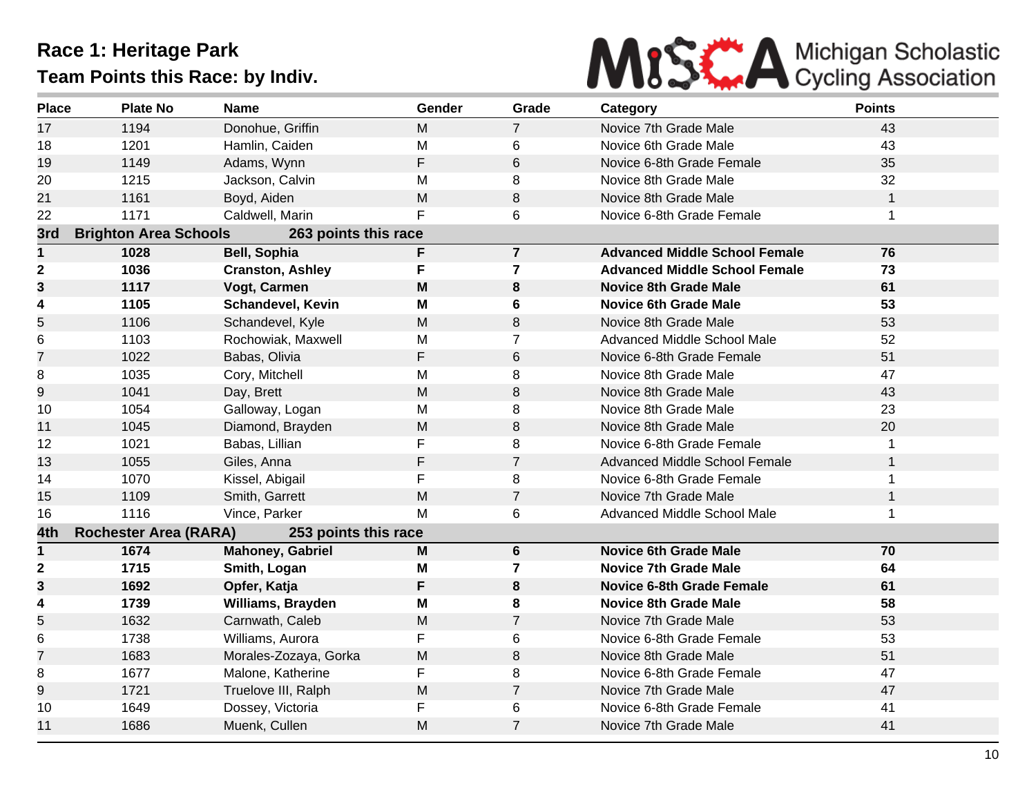

| <b>Place</b>            | <b>Plate No</b>              | <b>Name</b>             | Gender | Grade          | Category                             | <b>Points</b> |
|-------------------------|------------------------------|-------------------------|--------|----------------|--------------------------------------|---------------|
| 17                      | 1194                         | Donohue, Griffin        | M      | $\overline{7}$ | Novice 7th Grade Male                | 43            |
| 18                      | 1201                         | Hamlin, Caiden          | M      | 6              | Novice 6th Grade Male                | 43            |
| 19                      | 1149                         | Adams, Wynn             | F      | 6              | Novice 6-8th Grade Female            | 35            |
| 20                      | 1215                         | Jackson, Calvin         | M      | 8              | Novice 8th Grade Male                | 32            |
| 21                      | 1161                         | Boyd, Aiden             | M      | 8              | Novice 8th Grade Male                | $\mathbf 1$   |
| 22                      | 1171                         | Caldwell, Marin         | F      | 6              | Novice 6-8th Grade Female            | 1             |
| 3rd                     | <b>Brighton Area Schools</b> | 263 points this race    |        |                |                                      |               |
| $\mathbf{1}$            | 1028                         | <b>Bell, Sophia</b>     | F      | $\overline{7}$ | <b>Advanced Middle School Female</b> | 76            |
| $\mathbf 2$             | 1036                         | <b>Cranston, Ashley</b> | F      | $\overline{7}$ | <b>Advanced Middle School Female</b> | 73            |
| 3                       | 1117                         | Vogt, Carmen            | M      | 8              | <b>Novice 8th Grade Male</b>         | 61            |
| $\overline{\mathbf{4}}$ | 1105                         | Schandevel, Kevin       | M      | 6              | <b>Novice 6th Grade Male</b>         | 53            |
| 5                       | 1106                         | Schandevel, Kyle        | M      | 8              | Novice 8th Grade Male                | 53            |
| 6                       | 1103                         | Rochowiak, Maxwell      | M      | $\overline{7}$ | <b>Advanced Middle School Male</b>   | 52            |
| $\overline{7}$          | 1022                         | Babas, Olivia           | F      | 6              | Novice 6-8th Grade Female            | 51            |
| 8                       | 1035                         | Cory, Mitchell          | M      | 8              | Novice 8th Grade Male                | 47            |
| 9                       | 1041                         | Day, Brett              | M      | 8              | Novice 8th Grade Male                | 43            |
| 10                      | 1054                         | Galloway, Logan         | M      | 8              | Novice 8th Grade Male                | 23            |
| 11                      | 1045                         | Diamond, Brayden        | M      | $\,8\,$        | Novice 8th Grade Male                | 20            |
| 12                      | 1021                         | Babas, Lillian          | F      | 8              | Novice 6-8th Grade Female            | 1             |
| 13                      | 1055                         | Giles, Anna             | F      | $\overline{7}$ | <b>Advanced Middle School Female</b> | $\mathbf 1$   |
| 14                      | 1070                         | Kissel, Abigail         | F      | 8              | Novice 6-8th Grade Female            | 1             |
| 15                      | 1109                         | Smith, Garrett          | M      | $\overline{7}$ | Novice 7th Grade Male                | $\mathbf 1$   |
| 16                      | 1116                         | Vince, Parker           | M      | 6              | Advanced Middle School Male          | 1             |
| 4th                     | <b>Rochester Area (RARA)</b> | 253 points this race    |        |                |                                      |               |
| $\mathbf{1}$            | 1674                         | <b>Mahoney, Gabriel</b> | M      | $6\phantom{1}$ | <b>Novice 6th Grade Male</b>         | 70            |
| $\mathbf 2$             | 1715                         | Smith, Logan            | M      | $\overline{7}$ | <b>Novice 7th Grade Male</b>         | 64            |
| 3                       | 1692                         | Opfer, Katja            | F      | 8              | Novice 6-8th Grade Female            | 61            |
| $\overline{\mathbf{4}}$ | 1739                         | Williams, Brayden       | Μ      | 8              | <b>Novice 8th Grade Male</b>         | 58            |
| 5                       | 1632                         | Carnwath, Caleb         | M      | $\overline{7}$ | Novice 7th Grade Male                | 53            |
| 6                       | 1738                         | Williams, Aurora        | F      | 6              | Novice 6-8th Grade Female            | 53            |
| $\overline{7}$          | 1683                         | Morales-Zozaya, Gorka   | M      | 8              | Novice 8th Grade Male                | 51            |
| 8                       | 1677                         | Malone, Katherine       | F      | 8              | Novice 6-8th Grade Female            | 47            |
| 9                       | 1721                         | Truelove III, Ralph     | M      | $\overline{7}$ | Novice 7th Grade Male                | 47            |
| 10                      | 1649                         | Dossey, Victoria        | F      | 6              | Novice 6-8th Grade Female            | 41            |
| 11                      | 1686                         | Muenk, Cullen           | M      | $\overline{7}$ | Novice 7th Grade Male                | 41            |
|                         |                              |                         |        |                |                                      |               |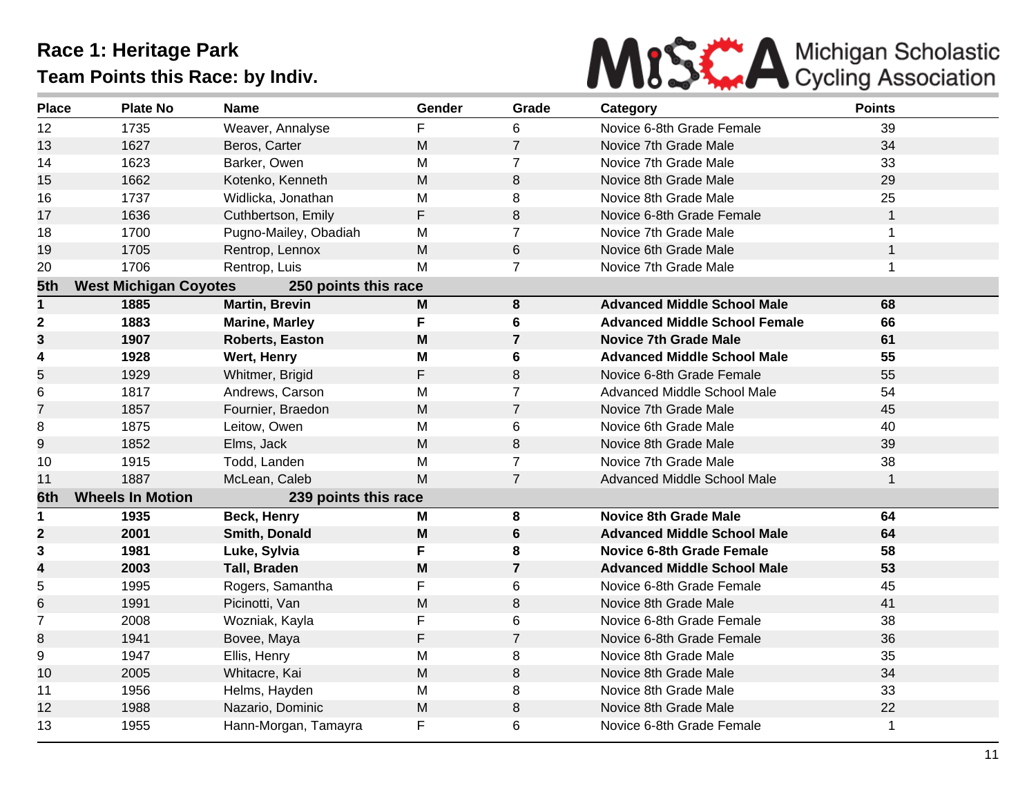

| <b>Place</b>   | Plate No                                             | <b>Name</b>            | Gender | Grade          | Category                             | <b>Points</b> |  |  |  |
|----------------|------------------------------------------------------|------------------------|--------|----------------|--------------------------------------|---------------|--|--|--|
| 12             | 1735                                                 | Weaver, Annalyse       | F      | 6              | Novice 6-8th Grade Female            | 39            |  |  |  |
| 13             | 1627                                                 | Beros, Carter          | M      | $\overline{7}$ | Novice 7th Grade Male                | 34            |  |  |  |
| 14             | 1623                                                 | Barker, Owen           | M      | $\overline{7}$ | Novice 7th Grade Male                | 33            |  |  |  |
| 15             | 1662                                                 | Kotenko, Kenneth       | M      | 8              | Novice 8th Grade Male                | 29            |  |  |  |
| 16             | 1737                                                 | Widlicka, Jonathan     | M      | 8              | Novice 8th Grade Male                | 25            |  |  |  |
| 17             | 1636                                                 | Cuthbertson, Emily     | F      | 8              | Novice 6-8th Grade Female            | $\mathbf{1}$  |  |  |  |
| 18             | 1700                                                 | Pugno-Mailey, Obadiah  | M      | $\overline{7}$ | Novice 7th Grade Male                | 1             |  |  |  |
| 19             | 1705                                                 | Rentrop, Lennox        | M      | $6\phantom{1}$ | Novice 6th Grade Male                | $\mathbf{1}$  |  |  |  |
| 20             | 1706                                                 | Rentrop, Luis          | М      | $\overline{7}$ | Novice 7th Grade Male                | 1             |  |  |  |
| 5th            | <b>West Michigan Coyotes</b><br>250 points this race |                        |        |                |                                      |               |  |  |  |
| $\mathbf{1}$   | 1885                                                 | <b>Martin, Brevin</b>  | M      | 8              | <b>Advanced Middle School Male</b>   | 68            |  |  |  |
| $\mathbf 2$    | 1883                                                 | <b>Marine, Marley</b>  | F      | 6              | <b>Advanced Middle School Female</b> | 66            |  |  |  |
| 3              | 1907                                                 | <b>Roberts, Easton</b> | M      | $\overline{7}$ | <b>Novice 7th Grade Male</b>         | 61            |  |  |  |
| 4              | 1928                                                 | Wert, Henry            | Μ      | 6              | <b>Advanced Middle School Male</b>   | 55            |  |  |  |
| 5              | 1929                                                 | Whitmer, Brigid        | F      | 8              | Novice 6-8th Grade Female            | 55            |  |  |  |
| 6              | 1817                                                 | Andrews, Carson        | M      | $\overline{7}$ | Advanced Middle School Male          | 54            |  |  |  |
| $\overline{7}$ | 1857                                                 | Fournier, Braedon      | M      | $\overline{7}$ | Novice 7th Grade Male                | 45            |  |  |  |
| 8              | 1875                                                 | Leitow, Owen           | M      | 6              | Novice 6th Grade Male                | 40            |  |  |  |
| 9              | 1852                                                 | Elms, Jack             | M      | 8              | Novice 8th Grade Male                | 39            |  |  |  |
| 10             | 1915                                                 | Todd, Landen           | M      | $\overline{7}$ | Novice 7th Grade Male                | 38            |  |  |  |
| 11             | 1887                                                 | McLean, Caleb          | M      | $\overline{7}$ | Advanced Middle School Male          | $\mathbf{1}$  |  |  |  |
| 6th            | <b>Wheels In Motion</b>                              | 239 points this race   |        |                |                                      |               |  |  |  |
| 1              | 1935                                                 | Beck, Henry            | Μ      | 8              | <b>Novice 8th Grade Male</b>         | 64            |  |  |  |
| $\mathbf 2$    | 2001                                                 | Smith, Donald          | M      | 6              | <b>Advanced Middle School Male</b>   | 64            |  |  |  |
| 3              | 1981                                                 | Luke, Sylvia           | F      | 8              | <b>Novice 6-8th Grade Female</b>     | 58            |  |  |  |
| 4              | 2003                                                 | <b>Tall, Braden</b>    | M      | $\overline{7}$ | <b>Advanced Middle School Male</b>   | 53            |  |  |  |
| 5              | 1995                                                 | Rogers, Samantha       | F      | 6              | Novice 6-8th Grade Female            | 45            |  |  |  |
| 6              | 1991                                                 | Picinotti, Van         | M      | 8              | Novice 8th Grade Male                | 41            |  |  |  |
| $\overline{7}$ | 2008                                                 | Wozniak, Kayla         | F      | 6              | Novice 6-8th Grade Female            | 38            |  |  |  |
| 8              | 1941                                                 | Bovee, Maya            | F      | $\overline{7}$ | Novice 6-8th Grade Female            | 36            |  |  |  |
| 9              | 1947                                                 | Ellis, Henry           | M      | 8              | Novice 8th Grade Male                | 35            |  |  |  |
| 10             | 2005                                                 | Whitacre, Kai          | M      | 8              | Novice 8th Grade Male                | 34            |  |  |  |
| 11             | 1956                                                 | Helms, Hayden          | M      | 8              | Novice 8th Grade Male                | 33            |  |  |  |
| 12             | 1988                                                 | Nazario, Dominic       | M      | 8              | Novice 8th Grade Male                | 22            |  |  |  |
| 13             | 1955                                                 | Hann-Morgan, Tamayra   | F      | 6              | Novice 6-8th Grade Female            | 1             |  |  |  |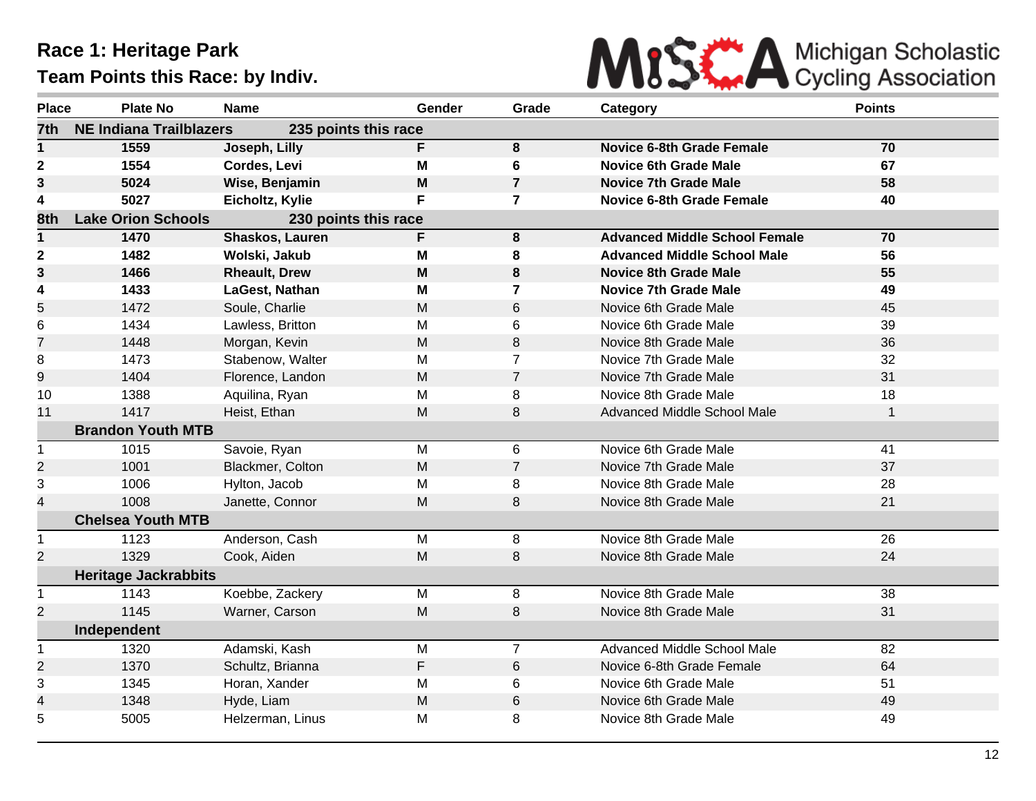

| <b>Place</b>            | <b>Plate No</b>                | <b>Name</b>          | Gender | Grade          | Category                             | <b>Points</b> |
|-------------------------|--------------------------------|----------------------|--------|----------------|--------------------------------------|---------------|
| 7th                     | <b>NE Indiana Trailblazers</b> | 235 points this race |        |                |                                      |               |
| $\mathbf{1}$            | 1559                           | Joseph, Lilly        | F.     | 8              | <b>Novice 6-8th Grade Female</b>     | 70            |
| $\mathbf{2}$            | 1554                           | Cordes, Levi         | М      | 6              | <b>Novice 6th Grade Male</b>         | 67            |
| 3                       | 5024                           | Wise, Benjamin       | M      | $\overline{7}$ | <b>Novice 7th Grade Male</b>         | 58            |
| $\overline{\mathbf{4}}$ | 5027                           | Eicholtz, Kylie      | F      | $\overline{7}$ | <b>Novice 6-8th Grade Female</b>     | 40            |
| 8th                     | <b>Lake Orion Schools</b>      | 230 points this race |        |                |                                      |               |
| $\mathbf{1}$            | 1470                           | Shaskos, Lauren      | F      | 8              | <b>Advanced Middle School Female</b> | 70            |
| $\mathbf{2}$            | 1482                           | Wolski, Jakub        | M      | 8              | <b>Advanced Middle School Male</b>   | 56            |
| 3                       | 1466                           | <b>Rheault, Drew</b> | M      | $\bf 8$        | <b>Novice 8th Grade Male</b>         | 55            |
| 4                       | 1433                           | LaGest, Nathan       | Μ      | $\overline{7}$ | <b>Novice 7th Grade Male</b>         | 49            |
| 5                       | 1472                           | Soule, Charlie       | M      | 6              | Novice 6th Grade Male                | 45            |
| 6                       | 1434                           | Lawless, Britton     | M      | 6              | Novice 6th Grade Male                | 39            |
| 7                       | 1448                           | Morgan, Kevin        | M      | 8              | Novice 8th Grade Male                | 36            |
| 8                       | 1473                           | Stabenow, Walter     | М      | $\overline{7}$ | Novice 7th Grade Male                | 32            |
| 9                       | 1404                           | Florence, Landon     | M      | $\overline{7}$ | Novice 7th Grade Male                | 31            |
| 10                      | 1388                           | Aquilina, Ryan       | M      | 8              | Novice 8th Grade Male                | 18            |
| 11                      | 1417                           | Heist, Ethan         | M      | 8              | Advanced Middle School Male          | 1             |
|                         | <b>Brandon Youth MTB</b>       |                      |        |                |                                      |               |
| $\mathbf{1}$            | 1015                           | Savoie, Ryan         | M      | 6              | Novice 6th Grade Male                | 41            |
| $\overline{c}$          | 1001                           | Blackmer, Colton     | M      | $\overline{7}$ | Novice 7th Grade Male                | 37            |
| 3                       | 1006                           | Hylton, Jacob        | М      | 8              | Novice 8th Grade Male                | 28            |
| 4                       | 1008                           | Janette, Connor      | M      | 8              | Novice 8th Grade Male                | 21            |
|                         | <b>Chelsea Youth MTB</b>       |                      |        |                |                                      |               |
| 1                       | 1123                           | Anderson, Cash       | M      | 8              | Novice 8th Grade Male                | 26            |
| $\overline{c}$          | 1329                           | Cook, Aiden          | M      | 8              | Novice 8th Grade Male                | 24            |
|                         | <b>Heritage Jackrabbits</b>    |                      |        |                |                                      |               |
| 1                       | 1143                           | Koebbe, Zackery      | M      | 8              | Novice 8th Grade Male                | 38            |
| $\overline{c}$          | 1145                           | Warner, Carson       | M      | 8              | Novice 8th Grade Male                | 31            |
|                         | Independent                    |                      |        |                |                                      |               |
| $\mathbf{1}$            | 1320                           | Adamski, Kash        | M      | $\overline{7}$ | Advanced Middle School Male          | 82            |
| 2                       | 1370                           | Schultz, Brianna     | F      | 6              | Novice 6-8th Grade Female            | 64            |
| 3                       | 1345                           | Horan, Xander        | M      | 6              | Novice 6th Grade Male                | 51            |
| 4                       | 1348                           | Hyde, Liam           | M      | $\,6$          | Novice 6th Grade Male                | 49            |
| 5                       | 5005                           | Helzerman, Linus     | M      | 8              | Novice 8th Grade Male                | 49            |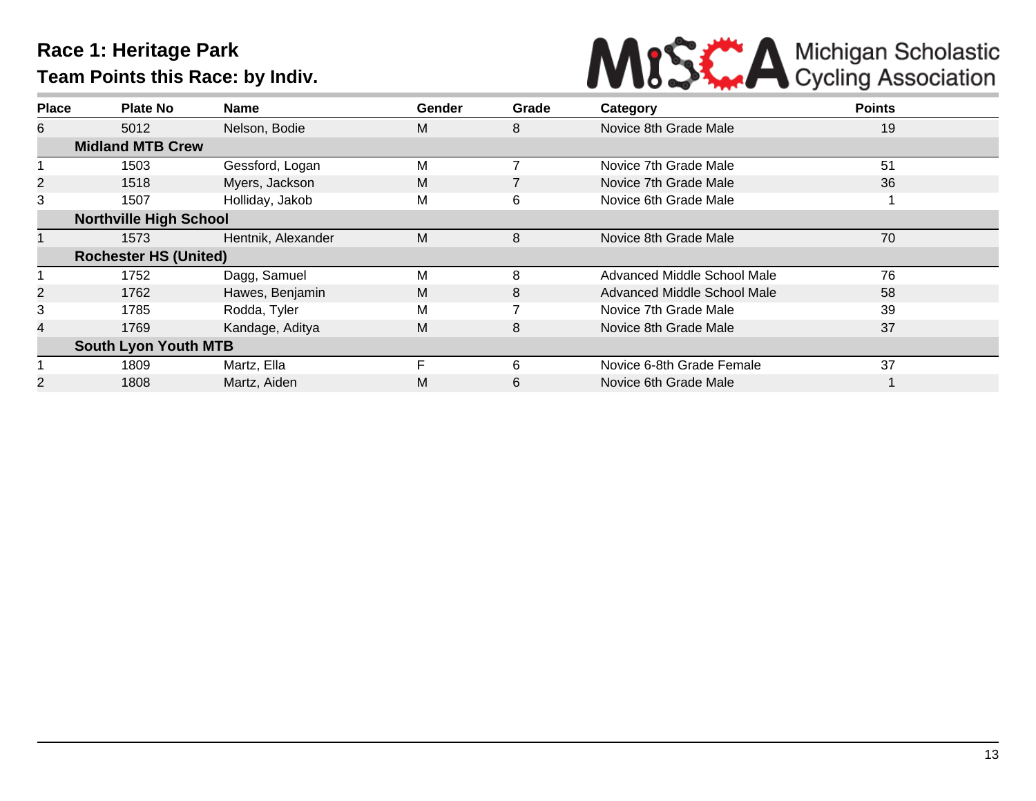

| <b>Place</b> | <b>Plate No</b>               | Name               | Gender | Grade | Category                    | <b>Points</b> |
|--------------|-------------------------------|--------------------|--------|-------|-----------------------------|---------------|
| 6            | 5012                          | Nelson, Bodie      | M      | 8     | Novice 8th Grade Male       | 19            |
|              | <b>Midland MTB Crew</b>       |                    |        |       |                             |               |
|              | 1503                          | Gessford, Logan    | M      |       | Novice 7th Grade Male       | 51            |
| 2            | 1518                          | Myers, Jackson     | M      |       | Novice 7th Grade Male       | 36            |
| 3            | 1507                          | Holliday, Jakob    | M      | 6     | Novice 6th Grade Male       |               |
|              | <b>Northville High School</b> |                    |        |       |                             |               |
|              | 1573                          | Hentnik, Alexander | м      | 8     | Novice 8th Grade Male       | 70            |
|              | <b>Rochester HS (United)</b>  |                    |        |       |                             |               |
|              | 1752                          | Dagg, Samuel       | M      | 8     | Advanced Middle School Male | 76            |
| 2            | 1762                          | Hawes, Benjamin    | M      | 8     | Advanced Middle School Male | 58            |
| 3            | 1785                          | Rodda, Tyler       | М      |       | Novice 7th Grade Male       | 39            |
| 4            | 1769                          | Kandage, Aditya    | M      | 8     | Novice 8th Grade Male       | 37            |
|              | <b>South Lyon Youth MTB</b>   |                    |        |       |                             |               |
|              | 1809                          | Martz, Ella        |        | 6     | Novice 6-8th Grade Female   | 37            |
| 2            | 1808                          | Martz, Aiden       | м      | 6     | Novice 6th Grade Male       |               |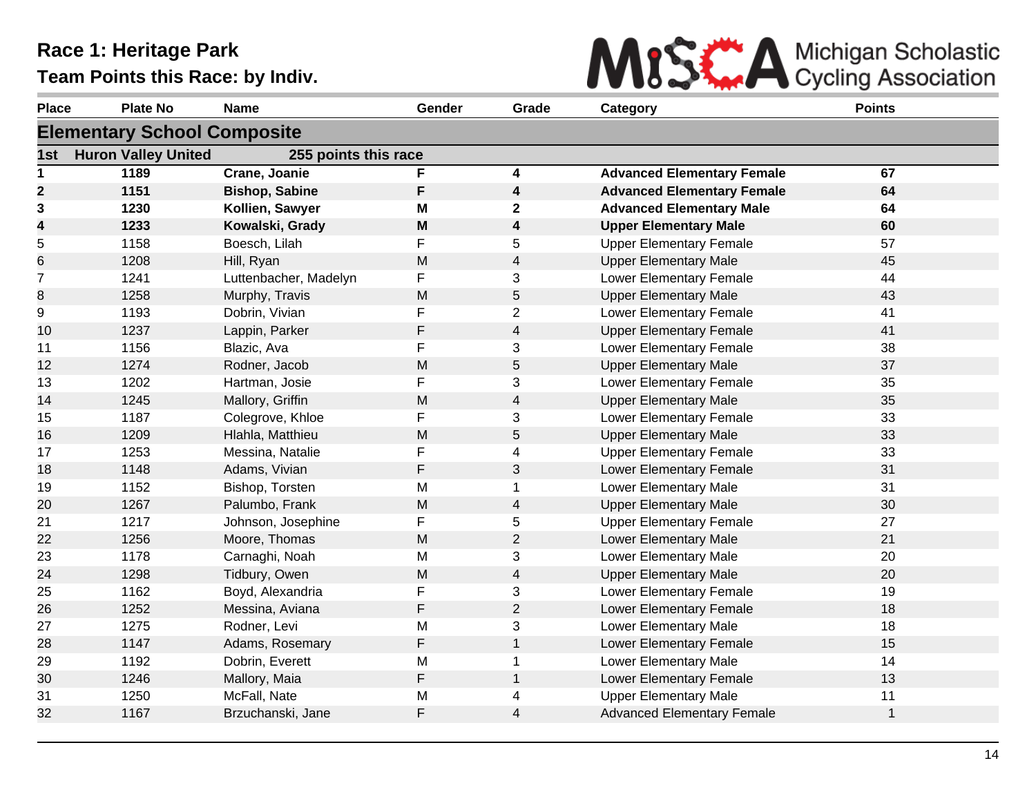

| <b>Place</b>                       | <b>Plate No</b>            | <b>Name</b>           | Gender | Grade                   | Category                          | <b>Points</b> |  |  |
|------------------------------------|----------------------------|-----------------------|--------|-------------------------|-----------------------------------|---------------|--|--|
| <b>Elementary School Composite</b> |                            |                       |        |                         |                                   |               |  |  |
| 1st                                | <b>Huron Valley United</b> | 255 points this race  |        |                         |                                   |               |  |  |
| 1                                  | 1189                       | Crane, Joanie         | F      | 4                       | <b>Advanced Elementary Female</b> | 67            |  |  |
| $\mathbf 2$                        | 1151                       | <b>Bishop, Sabine</b> | F      | 4                       | <b>Advanced Elementary Female</b> | 64            |  |  |
| 3                                  | 1230                       | Kollien, Sawyer       | M      | $\mathbf 2$             | <b>Advanced Elementary Male</b>   | 64            |  |  |
| 4                                  | 1233                       | Kowalski, Grady       | M      | 4                       | <b>Upper Elementary Male</b>      | 60            |  |  |
| 5                                  | 1158                       | Boesch, Lilah         | F      | 5                       | <b>Upper Elementary Female</b>    | 57            |  |  |
| 6                                  | 1208                       | Hill, Ryan            | M      | 4                       | <b>Upper Elementary Male</b>      | 45            |  |  |
| $\overline{7}$                     | 1241                       | Luttenbacher, Madelyn | F      | 3                       | Lower Elementary Female           | 44            |  |  |
| 8                                  | 1258                       | Murphy, Travis        | M      | 5                       | <b>Upper Elementary Male</b>      | 43            |  |  |
| 9                                  | 1193                       | Dobrin, Vivian        | F      | $\overline{2}$          | Lower Elementary Female           | 41            |  |  |
| 10                                 | 1237                       | Lappin, Parker        | F      | $\overline{\mathbf{4}}$ | <b>Upper Elementary Female</b>    | 41            |  |  |
| 11                                 | 1156                       | Blazic, Ava           | F      | 3                       | Lower Elementary Female           | 38            |  |  |
| 12                                 | 1274                       | Rodner, Jacob         | M      | 5                       | <b>Upper Elementary Male</b>      | 37            |  |  |
| 13                                 | 1202                       | Hartman, Josie        | F      | 3                       | Lower Elementary Female           | 35            |  |  |
| 14                                 | 1245                       | Mallory, Griffin      | M      | $\overline{\mathbf{4}}$ | <b>Upper Elementary Male</b>      | 35            |  |  |
| 15                                 | 1187                       | Colegrove, Khloe      | F      | 3                       | Lower Elementary Female           | 33            |  |  |
| 16                                 | 1209                       | Hlahla, Matthieu      | M      | 5                       | <b>Upper Elementary Male</b>      | 33            |  |  |
| 17                                 | 1253                       | Messina, Natalie      | F      | 4                       | <b>Upper Elementary Female</b>    | 33            |  |  |
| 18                                 | 1148                       | Adams, Vivian         | F      | 3                       | Lower Elementary Female           | 31            |  |  |
| 19                                 | 1152                       | Bishop, Torsten       | M      | 1                       | Lower Elementary Male             | 31            |  |  |
| 20                                 | 1267                       | Palumbo, Frank        | M      | 4                       | <b>Upper Elementary Male</b>      | 30            |  |  |
| 21                                 | 1217                       | Johnson, Josephine    | F      | 5                       | <b>Upper Elementary Female</b>    | 27            |  |  |
| 22                                 | 1256                       | Moore, Thomas         | M      | $\overline{2}$          | Lower Elementary Male             | 21            |  |  |
| 23                                 | 1178                       | Carnaghi, Noah        | M      | 3                       | Lower Elementary Male             | 20            |  |  |
| 24                                 | 1298                       | Tidbury, Owen         | M      | 4                       | <b>Upper Elementary Male</b>      | 20            |  |  |
| 25                                 | 1162                       | Boyd, Alexandria      | F      | 3                       | Lower Elementary Female           | 19            |  |  |
| 26                                 | 1252                       | Messina, Aviana       | F      | $\overline{2}$          | Lower Elementary Female           | 18            |  |  |
| 27                                 | 1275                       | Rodner, Levi          | M      | 3                       | Lower Elementary Male             | 18            |  |  |
| 28                                 | 1147                       | Adams, Rosemary       | F      | $\mathbf{1}$            | Lower Elementary Female           | 15            |  |  |
| 29                                 | 1192                       | Dobrin, Everett       | M      | 1                       | Lower Elementary Male             | 14            |  |  |
| 30                                 | 1246                       | Mallory, Maia         | F      | 1                       | Lower Elementary Female           | 13            |  |  |
| 31                                 | 1250                       | McFall, Nate          | M      | 4                       | <b>Upper Elementary Male</b>      | 11            |  |  |
| 32                                 | 1167                       | Brzuchanski, Jane     | F      | 4                       | <b>Advanced Elementary Female</b> | $\mathbf 1$   |  |  |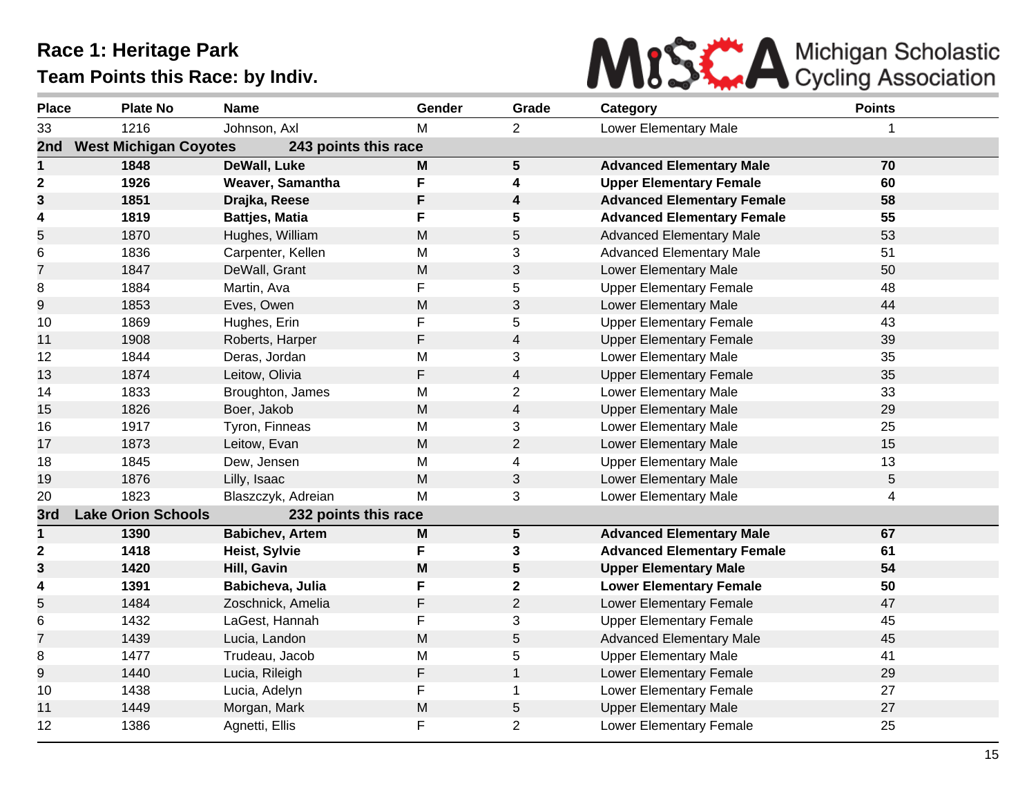

| <b>Place</b>            | <b>Plate No</b>              | <b>Name</b>            | Gender | Grade                   | Category                          | <b>Points</b> |  |
|-------------------------|------------------------------|------------------------|--------|-------------------------|-----------------------------------|---------------|--|
| 33                      | 1216                         | Johnson, Axl           | M      | $\overline{2}$          | Lower Elementary Male             |               |  |
| 2nd                     | <b>West Michigan Coyotes</b> | 243 points this race   |        |                         |                                   |               |  |
| 1                       | 1848                         | DeWall, Luke           | M      | 5                       | <b>Advanced Elementary Male</b>   | 70            |  |
| $\mathbf 2$             | 1926                         | Weaver, Samantha       | F      | 4                       | <b>Upper Elementary Female</b>    | 60            |  |
| 3                       | 1851                         | Drajka, Reese          | F      | 4                       | <b>Advanced Elementary Female</b> | 58            |  |
| 4                       | 1819                         | <b>Battjes, Matia</b>  | F      | 5                       | <b>Advanced Elementary Female</b> | 55            |  |
| 5                       | 1870                         | Hughes, William        | M      | 5                       | <b>Advanced Elementary Male</b>   | 53            |  |
| 6                       | 1836                         | Carpenter, Kellen      | M      | 3                       | <b>Advanced Elementary Male</b>   | 51            |  |
| $\overline{7}$          | 1847                         | DeWall, Grant          | M      | 3                       | Lower Elementary Male             | 50            |  |
| 8                       | 1884                         | Martin, Ava            | F      | 5                       | <b>Upper Elementary Female</b>    | 48            |  |
| 9                       | 1853                         | Eves, Owen             | M      | 3                       | Lower Elementary Male             | 44            |  |
| 10                      | 1869                         | Hughes, Erin           | F      | 5                       | <b>Upper Elementary Female</b>    | 43            |  |
| 11                      | 1908                         | Roberts, Harper        | F      | $\overline{\mathbf{4}}$ | <b>Upper Elementary Female</b>    | 39            |  |
| 12                      | 1844                         | Deras, Jordan          | M      | 3                       | Lower Elementary Male             | 35            |  |
| 13                      | 1874                         | Leitow, Olivia         | F      | $\overline{\mathbf{4}}$ | <b>Upper Elementary Female</b>    | 35            |  |
| 14                      | 1833                         | Broughton, James       | M      | $\overline{2}$          | Lower Elementary Male             | 33            |  |
| 15                      | 1826                         | Boer, Jakob            | M      | $\overline{4}$          | <b>Upper Elementary Male</b>      | 29            |  |
| 16                      | 1917                         | Tyron, Finneas         | M      | 3                       | Lower Elementary Male             | 25            |  |
| 17                      | 1873                         | Leitow, Evan           | M      | $\overline{2}$          | Lower Elementary Male             | 15            |  |
| 18                      | 1845                         | Dew, Jensen            | M      | $\overline{\mathbf{4}}$ | <b>Upper Elementary Male</b>      | 13            |  |
| 19                      | 1876                         | Lilly, Isaac           | M      | 3                       | Lower Elementary Male             | $\sqrt{5}$    |  |
| 20                      | 1823                         | Blaszczyk, Adreian     | M      | 3                       | Lower Elementary Male             | 4             |  |
| 3rd                     | <b>Lake Orion Schools</b>    | 232 points this race   |        |                         |                                   |               |  |
| 1                       | 1390                         | <b>Babichev, Artem</b> | M      | 5                       | <b>Advanced Elementary Male</b>   | 67            |  |
| $\mathbf 2$             | 1418                         | Heist, Sylvie          | F      | 3                       | <b>Advanced Elementary Female</b> | 61            |  |
| 3                       | 1420                         | Hill, Gavin            | M      | 5                       | <b>Upper Elementary Male</b>      | 54            |  |
| $\overline{\mathbf{4}}$ | 1391                         | Babicheva, Julia       | F      | $\mathbf{2}$            | <b>Lower Elementary Female</b>    | 50            |  |
| 5                       | 1484                         | Zoschnick, Amelia      | F      | $\overline{2}$          | Lower Elementary Female           | 47            |  |
| 6                       | 1432                         | LaGest, Hannah         | F      | 3                       | <b>Upper Elementary Female</b>    | 45            |  |
| 7                       | 1439                         | Lucia, Landon          | M      | 5                       | <b>Advanced Elementary Male</b>   | 45            |  |
| 8                       | 1477                         | Trudeau, Jacob         | M      | 5                       | <b>Upper Elementary Male</b>      | 41            |  |
| 9                       | 1440                         | Lucia, Rileigh         | F      | $\mathbf{1}$            | Lower Elementary Female           | 29            |  |
| 10                      | 1438                         | Lucia, Adelyn          | F      | $\mathbf 1$             | Lower Elementary Female           | 27            |  |
| 11                      | 1449                         | Morgan, Mark           | M      | 5                       | <b>Upper Elementary Male</b>      | 27            |  |
| 12                      | 1386                         | Agnetti, Ellis         | F      | $\overline{2}$          | Lower Elementary Female           | 25            |  |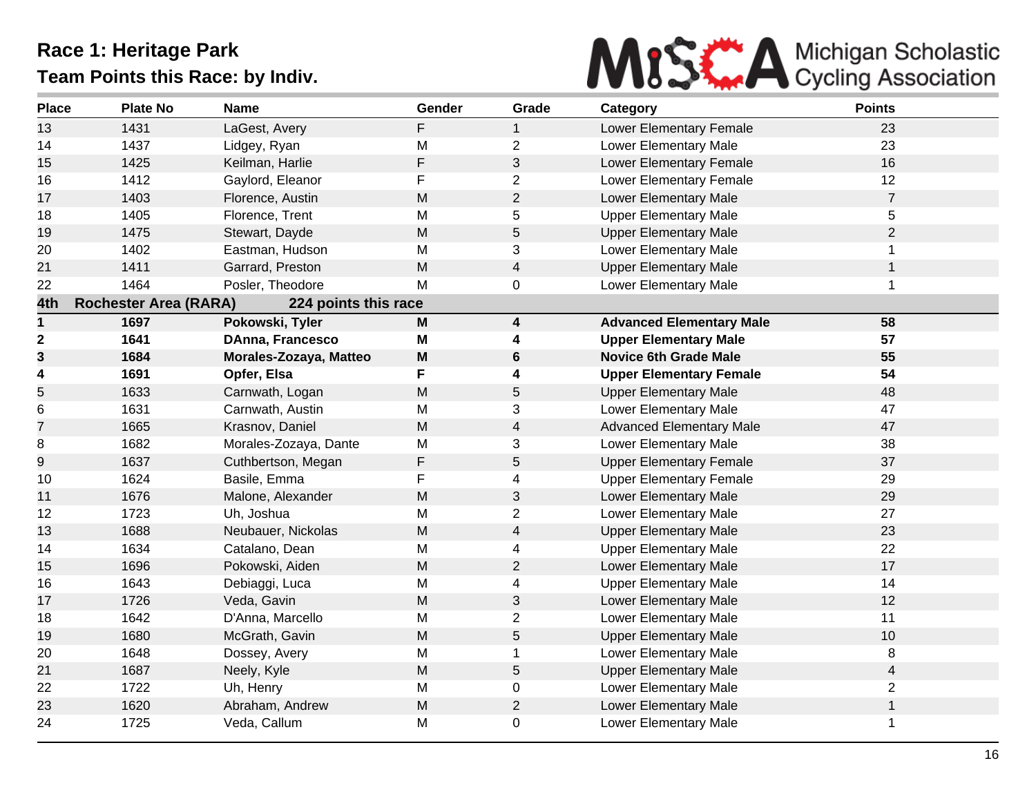

| <b>Place</b> | <b>Plate No</b>              | <b>Name</b>             | Gender | Grade                    | Category                        | <b>Points</b>            |
|--------------|------------------------------|-------------------------|--------|--------------------------|---------------------------------|--------------------------|
| 13           | 1431                         | LaGest, Avery           | F      | $\mathbf{1}$             | <b>Lower Elementary Female</b>  | 23                       |
| 14           | 1437                         | Lidgey, Ryan            | M      | $\overline{2}$           | Lower Elementary Male           | 23                       |
| 15           | 1425                         | Keilman, Harlie         | F      | 3                        | Lower Elementary Female         | 16                       |
| 16           | 1412                         | Gaylord, Eleanor        | F      | $\overline{2}$           | Lower Elementary Female         | 12                       |
| 17           | 1403                         | Florence, Austin        | M      | $\overline{2}$           | Lower Elementary Male           | $\overline{7}$           |
| 18           | 1405                         | Florence, Trent         | M      | 5                        | <b>Upper Elementary Male</b>    | 5                        |
| 19           | 1475                         | Stewart, Dayde          | M      | $\sqrt{5}$               | <b>Upper Elementary Male</b>    | $\overline{2}$           |
| 20           | 1402                         | Eastman, Hudson         | M      | 3                        | Lower Elementary Male           | 1                        |
| 21           | 1411                         | Garrard, Preston        | M      | $\overline{4}$           | <b>Upper Elementary Male</b>    | $\mathbf{1}$             |
| 22           | 1464                         | Posler, Theodore        | M      | $\pmb{0}$                | Lower Elementary Male           | $\mathbf 1$              |
| 4th          | <b>Rochester Area (RARA)</b> | 224 points this race    |        |                          |                                 |                          |
| $\mathbf 1$  | 1697                         | Pokowski, Tyler         | M      | $\overline{\mathbf{4}}$  | <b>Advanced Elementary Male</b> | 58                       |
| 2            | 1641                         | <b>DAnna, Francesco</b> | M      | 4                        | <b>Upper Elementary Male</b>    | 57                       |
| 3            | 1684                         | Morales-Zozaya, Matteo  | M      | $\bf 6$                  | <b>Novice 6th Grade Male</b>    | 55                       |
| 4            | 1691                         | Opfer, Elsa             | F      | $\overline{\mathbf{4}}$  | <b>Upper Elementary Female</b>  | 54                       |
| 5            | 1633                         | Carnwath, Logan         | M      | $\sqrt{5}$               | <b>Upper Elementary Male</b>    | 48                       |
| 6            | 1631                         | Carnwath, Austin        | M      | 3                        | Lower Elementary Male           | 47                       |
| 7            | 1665                         | Krasnov, Daniel         | M      | $\overline{4}$           | <b>Advanced Elementary Male</b> | 47                       |
| 8            | 1682                         | Morales-Zozaya, Dante   | M      | 3                        | Lower Elementary Male           | 38                       |
| 9            | 1637                         | Cuthbertson, Megan      | F      | $\sqrt{5}$               | <b>Upper Elementary Female</b>  | 37                       |
| 10           | 1624                         | Basile, Emma            | F      | 4                        | <b>Upper Elementary Female</b>  | 29                       |
| 11           | 1676                         | Malone, Alexander       | M      | $\sqrt{3}$               | Lower Elementary Male           | 29                       |
| 12           | 1723                         | Uh, Joshua              | M      | $\overline{2}$           | Lower Elementary Male           | 27                       |
| 13           | 1688                         | Neubauer, Nickolas      | M      | $\overline{4}$           | <b>Upper Elementary Male</b>    | 23                       |
| 14           | 1634                         | Catalano, Dean          | M      | $\overline{\mathcal{A}}$ | <b>Upper Elementary Male</b>    | 22                       |
| 15           | 1696                         | Pokowski, Aiden         | M      | $\overline{2}$           | Lower Elementary Male           | 17                       |
| 16           | 1643                         | Debiaggi, Luca          | M      | $\overline{\mathcal{A}}$ | <b>Upper Elementary Male</b>    | 14                       |
| 17           | 1726                         | Veda, Gavin             | M      | $\mathbf{3}$             | Lower Elementary Male           | 12                       |
| 18           | 1642                         | D'Anna, Marcello        | M      | $\overline{2}$           | Lower Elementary Male           | 11                       |
| 19           | 1680                         | McGrath, Gavin          | M      | $\overline{5}$           | <b>Upper Elementary Male</b>    | 10                       |
| 20           | 1648                         | Dossey, Avery           | M      | $\mathbf{1}$             | Lower Elementary Male           | 8                        |
| 21           | 1687                         | Neely, Kyle             | M      | $\overline{5}$           | <b>Upper Elementary Male</b>    | $\overline{\mathcal{A}}$ |
| 22           | 1722                         | Uh, Henry               | M      | $\pmb{0}$                | Lower Elementary Male           | $\overline{2}$           |
| 23           | 1620                         | Abraham, Andrew         | M      | $\overline{2}$           | Lower Elementary Male           | $\mathbf{1}$             |
| 24           | 1725                         | Veda, Callum            | M      | $\mathbf 0$              | Lower Elementary Male           | 1                        |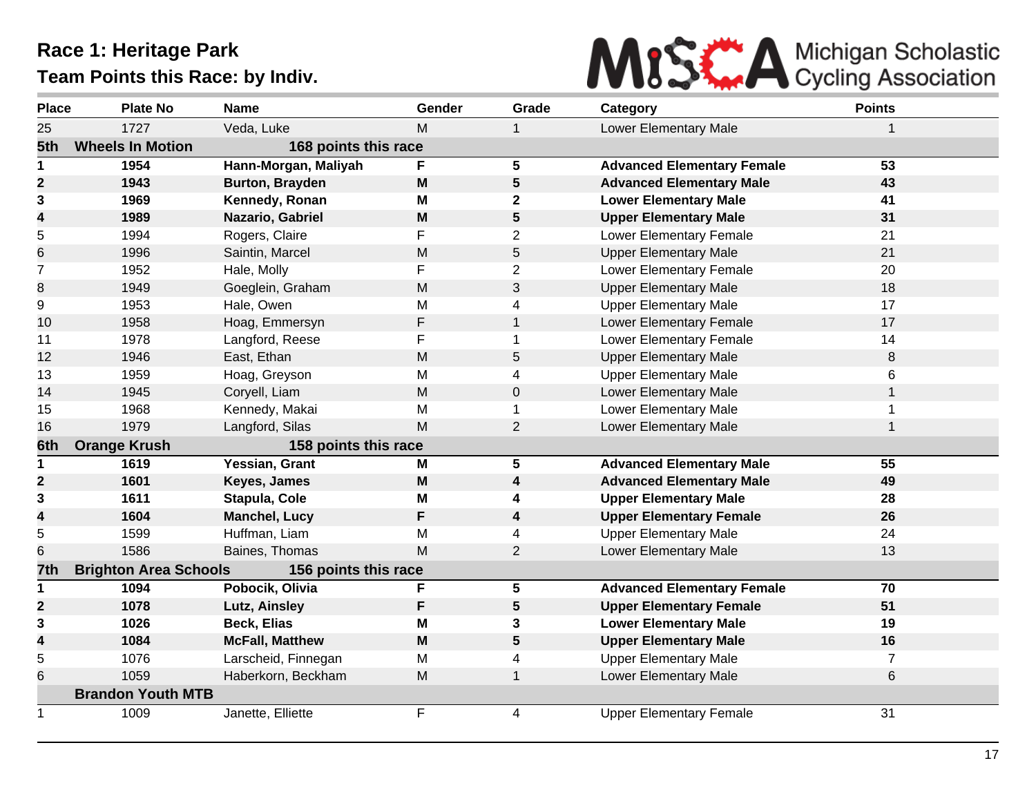

| <b>Place</b>   | <b>Plate No</b>                                 | <b>Name</b>            | Gender | Grade                   | Category                          | <b>Points</b>  |  |  |
|----------------|-------------------------------------------------|------------------------|--------|-------------------------|-----------------------------------|----------------|--|--|
| 25             | 1727                                            | Veda, Luke             | M      | 1                       | <b>Lower Elementary Male</b>      |                |  |  |
| 5th            | <b>Wheels In Motion</b><br>168 points this race |                        |        |                         |                                   |                |  |  |
| 1              | 1954                                            | Hann-Morgan, Maliyah   | F      | $\overline{\mathbf{5}}$ | <b>Advanced Elementary Female</b> | 53             |  |  |
| $\mathbf 2$    | 1943                                            | <b>Burton, Brayden</b> | M      | $5\phantom{1}$          | <b>Advanced Elementary Male</b>   | 43             |  |  |
| 3              | 1969                                            | Kennedy, Ronan         | M      | $\mathbf 2$             | <b>Lower Elementary Male</b>      | 41             |  |  |
| 4              | 1989                                            | Nazario, Gabriel       | M      | $5\phantom{.0}$         | <b>Upper Elementary Male</b>      | 31             |  |  |
| 5              | 1994                                            | Rogers, Claire         | F      | $\overline{2}$          | Lower Elementary Female           | 21             |  |  |
| 6              | 1996                                            | Saintin, Marcel        | M      | 5                       | <b>Upper Elementary Male</b>      | 21             |  |  |
| $\overline{7}$ | 1952                                            | Hale, Molly            | F      | $\overline{2}$          | Lower Elementary Female           | 20             |  |  |
| 8              | 1949                                            | Goeglein, Graham       | M      | 3                       | <b>Upper Elementary Male</b>      | 18             |  |  |
| 9              | 1953                                            | Hale, Owen             | M      | 4                       | <b>Upper Elementary Male</b>      | 17             |  |  |
| 10             | 1958                                            | Hoag, Emmersyn         | F      | $\mathbf{1}$            | Lower Elementary Female           | 17             |  |  |
| 11             | 1978                                            | Langford, Reese        | F      | 1                       | Lower Elementary Female           | 14             |  |  |
| 12             | 1946                                            | East, Ethan            | M      | 5                       | <b>Upper Elementary Male</b>      | 8              |  |  |
| 13             | 1959                                            | Hoag, Greyson          | M      | 4                       | <b>Upper Elementary Male</b>      | 6              |  |  |
| 14             | 1945                                            | Coryell, Liam          | M      | $\pmb{0}$               | Lower Elementary Male             | $\mathbf{1}$   |  |  |
| 15             | 1968                                            | Kennedy, Makai         | M      | $\mathbf{1}$            | Lower Elementary Male             | $\mathbf 1$    |  |  |
| 16             | 1979                                            | Langford, Silas        | M      | $\overline{2}$          | Lower Elementary Male             | $\mathbf 1$    |  |  |
| 6th            | <b>Orange Krush</b>                             | 158 points this race   |        |                         |                                   |                |  |  |
| 1              | 1619                                            | Yessian, Grant         | Μ      | 5                       | <b>Advanced Elementary Male</b>   | 55             |  |  |
| 2              | 1601                                            | Keyes, James           | M      | $\overline{\mathbf{4}}$ | <b>Advanced Elementary Male</b>   | 49             |  |  |
| 3              | 1611                                            | Stapula, Cole          | M      | 4                       | <b>Upper Elementary Male</b>      | 28             |  |  |
| 4              | 1604                                            | <b>Manchel, Lucy</b>   | F      | $\overline{\mathbf{4}}$ | <b>Upper Elementary Female</b>    | 26             |  |  |
| 5              | 1599                                            | Huffman, Liam          | Μ      | 4                       | <b>Upper Elementary Male</b>      | 24             |  |  |
| 6              | 1586                                            | Baines, Thomas         | M      | $\overline{2}$          | Lower Elementary Male             | 13             |  |  |
| 7th            | <b>Brighton Area Schools</b>                    | 156 points this race   |        |                         |                                   |                |  |  |
| 1              | 1094                                            | Pobocik, Olivia        | F      | $\overline{\mathbf{5}}$ | <b>Advanced Elementary Female</b> | 70             |  |  |
| $\mathbf 2$    | 1078                                            | Lutz, Ainsley          | F      | $5\phantom{.0}$         | <b>Upper Elementary Female</b>    | 51             |  |  |
| 3              | 1026                                            | Beck, Elias            | M      | 3                       | <b>Lower Elementary Male</b>      | 19             |  |  |
| 4              | 1084                                            | <b>McFall, Matthew</b> | M      | $5\phantom{1}$          | <b>Upper Elementary Male</b>      | 16             |  |  |
| 5              | 1076                                            | Larscheid, Finnegan    | M      | 4                       | <b>Upper Elementary Male</b>      | $\overline{7}$ |  |  |
| 6              | 1059                                            | Haberkorn, Beckham     | M      | $\mathbf{1}$            | Lower Elementary Male             | 6              |  |  |
|                | <b>Brandon Youth MTB</b>                        |                        |        |                         |                                   |                |  |  |
| 1              | 1009                                            | Janette, Elliette      | F      | 4                       | <b>Upper Elementary Female</b>    | 31             |  |  |